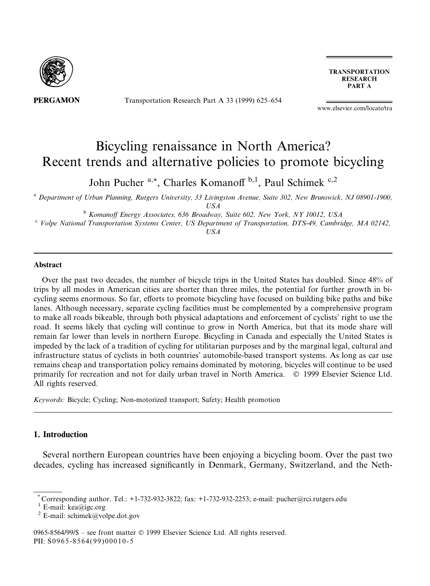

**PERGAMON** 

Transportation Research Part A 33 (1999)  $625-654$ 

**TRANSPORTATION RESEARCH** PART A

www.elsevier.com/locate/tra

# Bicycling renaissance in North America? Recent trends and alternative policies to promote bicycling

John Pucher  $a,*$ , Charles Komanoff  $b,1$ , Paul Schimek  $c,2$ 

<sup>a</sup> Department of Urban Planning, Rutgers University, 33 Livingston Avenue, Suite 302, New Brunswick, NJ 08901-1900,

USA<br>b Komanoff Energy Associates, 636 Broadway, Suite 602, New York, NY 10012, USA<br>c Volpe National Transportation Systems Center, US Department of Transportation, DTS-49, Cambridge, MA 02142,

USA

#### Abstract

Over the past two decades, the number of bicycle trips in the United States has doubled. Since 48% of trips by all modes in American cities are shorter than three miles, the potential for further growth in bicycling seems enormous. So far, efforts to promote bicycling have focused on building bike paths and bike lanes. Although necessary, separate cycling facilities must be complemented by a comprehensive program to make all roads bikeable, through both physical adaptations and enforcement of cyclists' right to use the road. It seems likely that cycling will continue to grow in North America, but that its mode share will remain far lower than levels in northern Europe. Bicycling in Canada and especially the United States is impeded by the lack of a tradition of cycling for utilitarian purposes and by the marginal legal, cultural and infrastructure status of cyclists in both countries' automobile-based transport systems. As long as car use remains cheap and transportation policy remains dominated by motoring, bicycles will continue to be used primarily for recreation and not for daily urban travel in North America. © 1999 Elsevier Science Ltd. All rights reserved.

Keywords: Bicycle; Cycling; Non-motorized transport; Safety; Health promotion

# 1. Introduction

Several northern European countries have been enjoying a bicycling boom. Over the past two decades, cycling has increased significantly in Denmark, Germany, Switzerland, and the Neth-

0965-8564/99/\$ – see front matter © 1999 Elsevier Science Ltd. All rights reserved. PII: S0965-8564(99)00010-5

<sup>\*</sup> Corresponding author. Tel.: +1-732-932-3822; fax: +1-732-932-2253; e-mail: pucher@rci.rutgers.edu

<sup>&</sup>lt;sup>1</sup> E-mail: kea@igc.org

<sup>2</sup> E-mail: schimek@volpe.dot.gov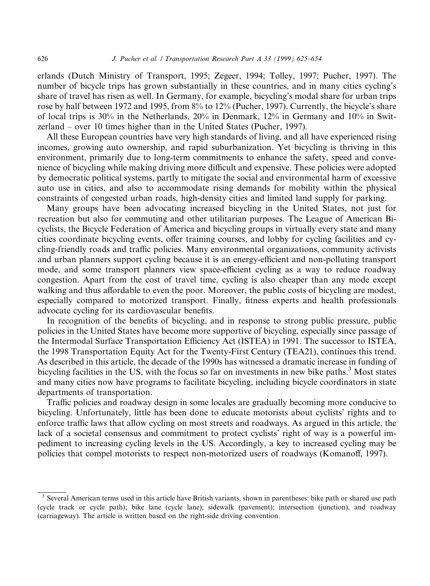erlands (Dutch Ministry of Transport, 1995; Zegeer, 1994; Tolley, 1997; Pucher, 1997). The number of bicycle trips has grown substantially in these countries, and in many cities cycling's share of travel has risen as well. In Germany, for example, bicycling's modal share for urban trips rose by half between 1972 and 1995, from 8% to 12% (Pucher, 1997). Currently, the bicycle's share of local trips is 30% in the Netherlands, 20% in Denmark, 12% in Germany and 10% in Switzerland  $-$  over 10 times higher than in the United States (Pucher, 1997).

All these European countries have very high standards of living, and all have experienced rising incomes, growing auto ownership, and rapid suburbanization. Yet bicycling is thriving in this environment, primarily due to long-term commitments to enhance the safety, speed and convenience of bicycling while making driving more difficult and expensive. These policies were adopted by democratic political systems, partly to mitigate the social and environmental harm of excessive auto use in cities, and also to accommodate rising demands for mobility within the physical constraints of congested urban roads, high-density cities and limited land supply for parking.

Many groups have been advocating increased bicycling in the United States, not just for recreation but also for commuting and other utilitarian purposes. The League of American Bicyclists, the Bicycle Federation of America and bicycling groups in virtually every state and many cities coordinate bicycling events, offer training courses, and lobby for cycling facilities and cycling-friendly roads and traffic policies. Many environmental organizations, community activists and urban planners support cycling because it is an energy-efficient and non-polluting transport mode, and some transport planners view space-efficient cycling as a way to reduce roadway congestion. Apart from the cost of travel time, cycling is also cheaper than any mode except walking and thus affordable to even the poor. Moreover, the public costs of bicycling are modest, especially compared to motorized transport. Finally, fitness experts and health professionals advocate cycling for its cardiovascular benefits.

In recognition of the benefits of bicycling, and in response to strong public pressure, public policies in the United States have become more supportive of bicycling, especially since passage of the Intermodal Surface Transportation Efficiency Act (ISTEA) in 1991. The successor to ISTEA, the 1998 Transportation Equity Act for the Twenty-First Century (TEA21), continues this trend. As described in this article, the decade of the 1990s has witnessed a dramatic increase in funding of bicycling facilities in the US, with the focus so far on investments in new bike paths.<sup>3</sup> Most states and many cities now have programs to facilitate bicycling, including bicycle coordinators in state departments of transportation.

Traffic policies and roadway design in some locales are gradually becoming more conducive to bicycling. Unfortunately, little has been done to educate motorists about cyclists' rights and to enforce traffic laws that allow cycling on most streets and roadways. As argued in this article, the lack of a societal consensus and commitment to protect cyclists' right of way is a powerful impediment to increasing cycling levels in the US. Accordingly, a key to increased cycling may be policies that compel motorists to respect non-motorized users of roadways (Komanoff, 1997).

<sup>&</sup>lt;sup>3</sup> Several American terms used in this article have British variants, shown in parentheses: bike path or shared use path (cycle track or cycle path); bike lane (cycle lane); sidewalk (pavement); intersection (junction), and roadway (carriageway). The article is written based on the right-side driving convention.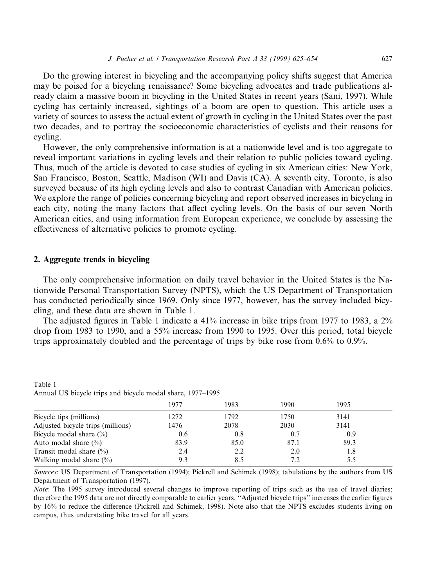Do the growing interest in bicycling and the accompanying policy shifts suggest that America may be poised for a bicycling renaissance? Some bicycling advocates and trade publications already claim a massive boom in bicycling in the United States in recent years (Sani, 1997). While cycling has certainly increased, sightings of a boom are open to question. This article uses a variety of sources to assess the actual extent of growth in cycling in the United States over the past two decades, and to portray the socioeconomic characteristics of cyclists and their reasons for cycling.

However, the only comprehensive information is at a nationwide level and is too aggregate to reveal important variations in cycling levels and their relation to public policies toward cycling. Thus, much of the article is devoted to case studies of cycling in six American cities: New York, San Francisco, Boston, Seattle, Madison (WI) and Davis (CA). A seventh city, Toronto, is also surveyed because of its high cycling levels and also to contrast Canadian with American policies. We explore the range of policies concerning bicycling and report observed increases in bicycling in each city, noting the many factors that affect cycling levels. On the basis of our seven North American cities, and using information from European experience, we conclude by assessing the effectiveness of alternative policies to promote cycling.

## 2. Aggregate trends in bicycling

The only comprehensive information on daily travel behavior in the United States is the Nationwide Personal Transportation Survey (NPTS), which the US Department of Transportation has conducted periodically since 1969. Only since 1977, however, has the survey included bicycling, and these data are shown in Table 1.

The adjusted figures in Table 1 indicate a  $41\%$  increase in bike trips from 1977 to 1983, a  $2\%$ drop from 1983 to 1990, and a 55% increase from 1990 to 1995. Over this period, total bicycle trips approximately doubled and the percentage of trips by bike rose from 0.6% to 0.9%.

|                                   | 1977 | 1983 | 1990 | 1995 |  |
|-----------------------------------|------|------|------|------|--|
| Bicycle tips (millions)           | 1272 | 1792 | 1750 | 3141 |  |
| Adjusted bicycle trips (millions) | 1476 | 2078 | 2030 | 3141 |  |
| Bicycle modal share $(\%)$        | 0.6  | 0.8  | 0.7  | 0.9  |  |
| Auto modal share $(\% )$          | 83.9 | 85.0 | 87.1 | 89.3 |  |
| Transit modal share $(\%)$        | 2.4  | 2.2  | 2.0  | 1.8  |  |
| Walking modal share $(\%)$        | 9.3  | 8.5  | 7.2  | 5.5  |  |

Table 1 Annual US bicycle trips and bicycle modal share, 1977–1995

Sources: US Department of Transportation (1994); Pickrell and Schimek (1998); tabulations by the authors from US Department of Transportation (1997).

Note: The 1995 survey introduced several changes to improve reporting of trips such as the use of travel diaries; therefore the 1995 data are not directly comparable to earlier years. "Adjusted bicycle trips" increases the earlier figures by 16% to reduce the difference (Pickrell and Schimek, 1998). Note also that the NPTS excludes students living on campus, thus understating bike travel for all years.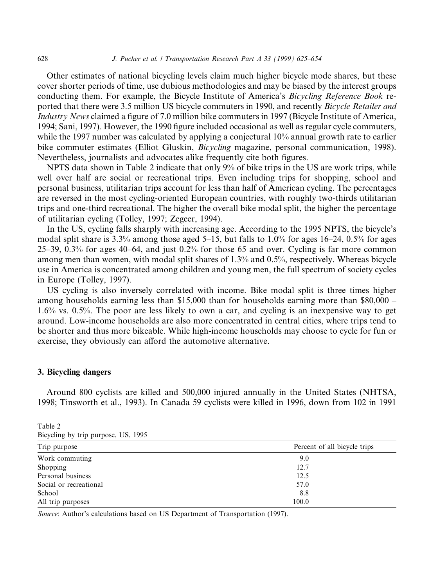Other estimates of national bicycling levels claim much higher bicycle mode shares, but these cover shorter periods of time, use dubious methodologies and may be biased by the interest groups conducting them. For example, the Bicycle Institute of America's Bicycling Reference Book reported that there were 3.5 million US bicycle commuters in 1990, and recently *Bicycle Retailer and* Industry News claimed a figure of 7.0 million bike commuters in 1997 (Bicycle Institute of America, 1994; Sani, 1997). However, the 1990 figure included occasional as well as regular cycle commuters, while the 1997 number was calculated by applying a conjectural 10% annual growth rate to earlier bike commuter estimates (Elliot Gluskin, *Bicycling* magazine, personal communication, 1998). Nevertheless, journalists and advocates alike frequently cite both figures.

NPTS data shown in Table 2 indicate that only 9% of bike trips in the US are work trips, while well over half are social or recreational trips. Even including trips for shopping, school and personal business, utilitarian trips account for less than half of American cycling. The percentages are reversed in the most cycling-oriented European countries, with roughly two-thirds utilitarian trips and one-third recreational. The higher the overall bike modal split, the higher the percentage of utilitarian cycling (Tolley, 1997; Zegeer, 1994).

In the US, cycling falls sharply with increasing age. According to the 1995 NPTS, the bicycle's modal split share is 3.3% among those aged 5 $-15$ , but falls to 1.0% for ages 16 $-24$ , 0.5% for ages  $25-39$ ,  $0.3\%$  for ages  $40-64$ , and just  $0.2\%$  for those 65 and over. Cycling is far more common among men than women, with modal split shares of 1.3% and 0.5%, respectively. Whereas bicycle use in America is concentrated among children and young men, the full spectrum of society cycles in Europe (Tolley, 1997).

US cycling is also inversely correlated with income. Bike modal split is three times higher among households earning less than \$15,000 than for households earning more than  $$80,000 -$ 1.6% vs. 0.5%. The poor are less likely to own a car, and cycling is an inexpensive way to get around. Low-income households are also more concentrated in central cities, where trips tend to be shorter and thus more bikeable. While high-income households may choose to cycle for fun or exercise, they obviously can afford the automotive alternative.

#### 3. Bicycling dangers

Around 800 cyclists are killed and 500,000 injured annually in the United States (NHTSA, 1998; Tinsworth et al., 1993). In Canada 59 cyclists were killed in 1996, down from 102 in 1991

| $\mu$ bicycling by trip purpose, $\sigma$ s, $\mu$ |                              |  |  |  |
|----------------------------------------------------|------------------------------|--|--|--|
| Trip purpose                                       | Percent of all bicycle trips |  |  |  |
| Work commuting                                     | 9.0                          |  |  |  |
| Shopping                                           | 12.7                         |  |  |  |
| Personal business                                  | 12.5                         |  |  |  |
| Social or recreational                             | 57.0                         |  |  |  |
| School                                             | 8.8                          |  |  |  |
| All trip purposes                                  | 100.0                        |  |  |  |
|                                                    |                              |  |  |  |

Table 2 Bicycling by trip purpose, US, 1995

Source: Author's calculations based on US Department of Transportation (1997).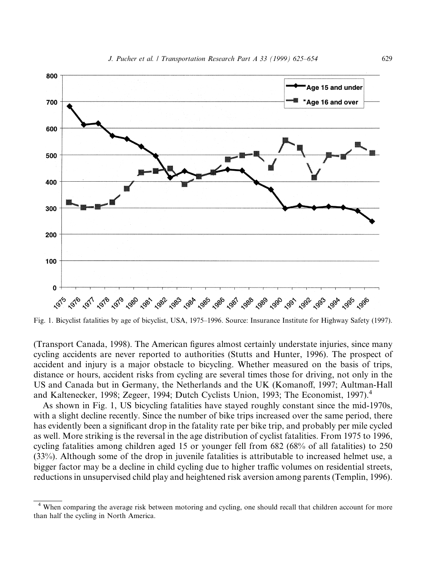

Fig. 1. Bicyclist fatalities by age of bicyclist, USA, 1975-1996. Source: Insurance Institute for Highway Safety (1997).

(Transport Canada, 1998). The American figures almost certainly understate injuries, since many cycling accidents are never reported to authorities (Stutts and Hunter, 1996). The prospect of accident and injury is a major obstacle to bicycling. Whether measured on the basis of trips, distance or hours, accident risks from cycling are several times those for driving, not only in the US and Canada but in Germany, the Netherlands and the UK (Komanoff, 1997; Aultman-Hall and Kaltenecker, 1998; Zegeer, 1994; Dutch Cyclists Union, 1993; The Economist, 1997).<sup>4</sup>

As shown in Fig. 1, US bicycling fatalities have stayed roughly constant since the mid-1970s, with a slight decline recently. Since the number of bike trips increased over the same period, there has evidently been a significant drop in the fatality rate per bike trip, and probably per mile cycled as well. More striking is the reversal in the age distribution of cyclist fatalities. From 1975 to 1996, cycling fatalities among children aged 15 or younger fell from 682 (68% of all fatalities) to 250 (33%). Although some of the drop in juvenile fatalities is attributable to increased helmet use, a bigger factor may be a decline in child cycling due to higher traffic volumes on residential streets, reductions in unsupervised child play and heightened risk aversion among parents (Templin, 1996).

<sup>&</sup>lt;sup>4</sup> When comparing the average risk between motoring and cycling, one should recall that children account for more than half the cycling in North America.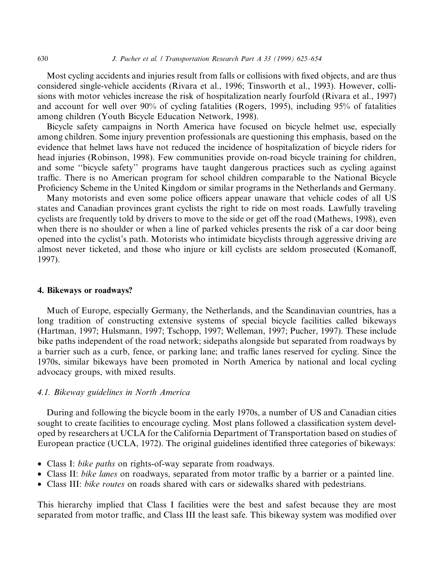Most cycling accidents and injuries result from falls or collisions with fixed objects, and are thus considered single-vehicle accidents (Rivara et al., 1996; Tinsworth et al., 1993). However, collisions with motor vehicles increase the risk of hospitalization nearly fourfold (Rivara et al., 1997) and account for well over 90% of cycling fatalities (Rogers, 1995), including 95% of fatalities among children (Youth Bicycle Education Network, 1998).

Bicycle safety campaigns in North America have focused on bicycle helmet use, especially among children. Some injury prevention professionals are questioning this emphasis, based on the evidence that helmet laws have not reduced the incidence of hospitalization of bicycle riders for head injuries (Robinson, 1998). Few communities provide on-road bicycle training for children, and some "bicycle safety" programs have taught dangerous practices such as cycling against traffic. There is no American program for school children comparable to the National Bicycle Proficiency Scheme in the United Kingdom or similar programs in the Netherlands and Germany.

Many motorists and even some police officers appear unaware that vehicle codes of all US states and Canadian provinces grant cyclists the right to ride on most roads. Lawfully traveling cyclists are frequently told by drivers to move to the side or get off the road (Mathews, 1998), even when there is no shoulder or when a line of parked vehicles presents the risk of a car door being opened into the cyclist's path. Motorists who intimidate bicyclists through aggressive driving are almost never ticketed, and those who injure or kill cyclists are seldom prosecuted (Komanoff, 1997).

## 4. Bikeways or roadways?

Much of Europe, especially Germany, the Netherlands, and the Scandinavian countries, has a long tradition of constructing extensive systems of special bicycle facilities called bikeways (Hartman, 1997; Hulsmann, 1997; Tschopp, 1997; Welleman, 1997; Pucher, 1997). These include bike paths independent of the road network; sidepaths alongside but separated from roadways by a barrier such as a curb, fence, or parking lane; and traffic lanes reserved for cycling. Since the 1970s, similar bikeways have been promoted in North America by national and local cycling advocacy groups, with mixed results.

# 4.1. Bikeway guidelines in North America

During and following the bicycle boom in the early 1970s, a number of US and Canadian cities sought to create facilities to encourage cycling. Most plans followed a classification system developed by researchers at UCLA for the California Department of Transportation based on studies of European practice (UCLA, 1972). The original guidelines identified three categories of bikeways:

- Class I: bike paths on rights-of-way separate from roadways.
- Class II: bike lanes on roadways, separated from motor traffic by a barrier or a painted line.
- · Class III: bike routes on roads shared with cars or sidewalks shared with pedestrians.

This hierarchy implied that Class I facilities were the best and safest because they are most separated from motor traffic, and Class III the least safe. This bikeway system was modified over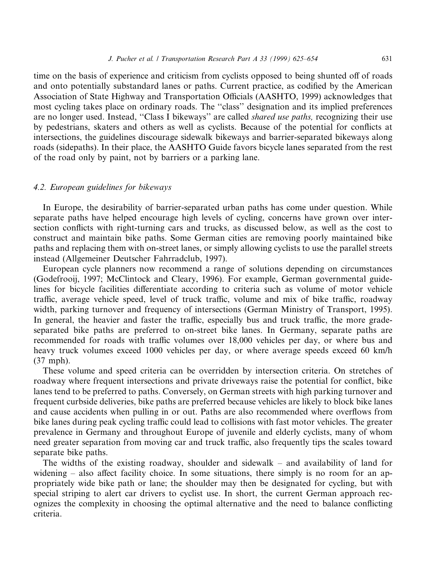time on the basis of experience and criticism from cyclists opposed to being shunted off of roads and onto potentially substandard lanes or paths. Current practice, as codified by the American Association of State Highway and Transportation Officials (AASHTO, 1999) acknowledges that most cycling takes place on ordinary roads. The "class" designation and its implied preferences are no longer used. Instead, "Class I bikeways" are called *shared use paths*, recognizing their use by pedestrians, skaters and others as well as cyclists. Because of the potential for conflicts at intersections, the guidelines discourage sidewalk bikeways and barrier-separated bikeways along roads (sidepaths). In their place, the AASHTO Guide favors bicycle lanes separated from the rest of the road only by paint, not by barriers or a parking lane.

## 4.2. European guidelines for bikeways

In Europe, the desirability of barrier-separated urban paths has come under question. While separate paths have helped encourage high levels of cycling, concerns have grown over intersection conflicts with right-turning cars and trucks, as discussed below, as well as the cost to construct and maintain bike paths. Some German cities are removing poorly maintained bike paths and replacing them with on-street lanes, or simply allowing cyclists to use the parallel streets instead (Allgemeiner Deutscher Fahrradclub, 1997).

European cycle planners now recommend a range of solutions depending on circumstances (Godefrooij, 1997; McClintock and Cleary, 1996). For example, German governmental guidelines for bicycle facilities differentiate according to criteria such as volume of motor vehicle traffic, average vehicle speed, level of truck traffic, volume and mix of bike traffic, roadway width, parking turnover and frequency of intersections (German Ministry of Transport, 1995). In general, the heavier and faster the traffic, especially bus and truck traffic, the more gradeseparated bike paths are preferred to on-street bike lanes. In Germany, separate paths are recommended for roads with traffic volumes over 18,000 vehicles per day, or where bus and heavy truck volumes exceed 1000 vehicles per day, or where average speeds exceed 60 km/h (37 mph).

These volume and speed criteria can be overridden by intersection criteria. On stretches of roadway where frequent intersections and private driveways raise the potential for conflict, bike lanes tend to be preferred to paths. Conversely, on German streets with high parking turnover and frequent curbside deliveries, bike paths are preferred because vehicles are likely to block bike lanes and cause accidents when pulling in or out. Paths are also recommended where overflows from bike lanes during peak cycling traffic could lead to collisions with fast motor vehicles. The greater prevalence in Germany and throughout Europe of juvenile and elderly cyclists, many of whom need greater separation from moving car and truck traffic, also frequently tips the scales toward separate bike paths.

The widths of the existing roadway, shoulder and sidewalk  $-$  and availability of land for widening  $-\text{ also affect facility choice.}$  In some situations, there simply is no room for an appropriately wide bike path or lane; the shoulder may then be designated for cycling, but with special striping to alert car drivers to cyclist use. In short, the current German approach recognizes the complexity in choosing the optimal alternative and the need to balance conflicting criteria.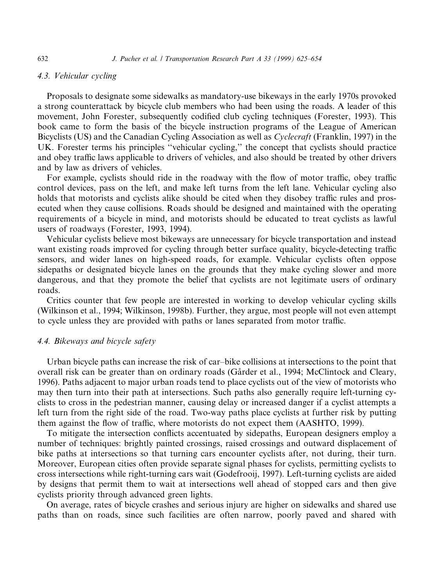#### 4.3. Vehicular cycling

Proposals to designate some sidewalks as mandatory-use bikeways in the early 1970s provoked a strong counterattack by bicycle club members who had been using the roads. A leader of this movement, John Forester, subsequently codified club cycling techniques (Forester, 1993). This book came to form the basis of the bicycle instruction programs of the League of American Bicyclists (US) and the Canadian Cycling Association as well as Cyclecraft (Franklin, 1997) in the UK. Forester terms his principles "vehicular cycling," the concept that cyclists should practice and obey traffic laws applicable to drivers of vehicles, and also should be treated by other drivers and by law as drivers of vehicles.

For example, cyclists should ride in the roadway with the flow of motor traffic, obey traffic control devices, pass on the left, and make left turns from the left lane. Vehicular cycling also holds that motorists and cyclists alike should be cited when they disobey traffic rules and prosecuted when they cause collisions. Roads should be designed and maintained with the operating requirements of a bicycle in mind, and motorists should be educated to treat cyclists as lawful users of roadways (Forester, 1993, 1994).

Vehicular cyclists believe most bikeways are unnecessary for bicycle transportation and instead want existing roads improved for cycling through better surface quality, bicycle-detecting traffic sensors, and wider lanes on high-speed roads, for example. Vehicular cyclists often oppose sidepaths or designated bicycle lanes on the grounds that they make cycling slower and more dangerous, and that they promote the belief that cyclists are not legitimate users of ordinary roads.

Critics counter that few people are interested in working to develop vehicular cycling skills (Wilkinson et al., 1994; Wilkinson, 1998b). Further, they argue, most people will not even attempt to cycle unless they are provided with paths or lanes separated from motor traffic.

#### 4.4. Bikeways and bicycle safety

Urban bicycle paths can increase the risk of car-bike collisions at intersections to the point that overall risk can be greater than on ordinary roads (Gårder et al., 1994; McClintock and Cleary, 1996). Paths adjacent to major urban roads tend to place cyclists out of the view of motorists who may then turn into their path at intersections. Such paths also generally require left-turning cyclists to cross in the pedestrian manner, causing delay or increased danger if a cyclist attempts a left turn from the right side of the road. Two-way paths place cyclists at further risk by putting them against the flow of traffic, where motorists do not expect them (AASHTO, 1999).

To mitigate the intersection conflicts accentuated by sidepaths, European designers employ a number of techniques: brightly painted crossings, raised crossings and outward displacement of bike paths at intersections so that turning cars encounter cyclists after, not during, their turn. Moreover, European cities often provide separate signal phases for cyclists, permitting cyclists to cross intersections while right-turning cars wait (Godefrooij, 1997). Left-turning cyclists are aided by designs that permit them to wait at intersections well ahead of stopped cars and then give cyclists priority through advanced green lights.

On average, rates of bicycle crashes and serious injury are higher on sidewalks and shared use paths than on roads, since such facilities are often narrow, poorly paved and shared with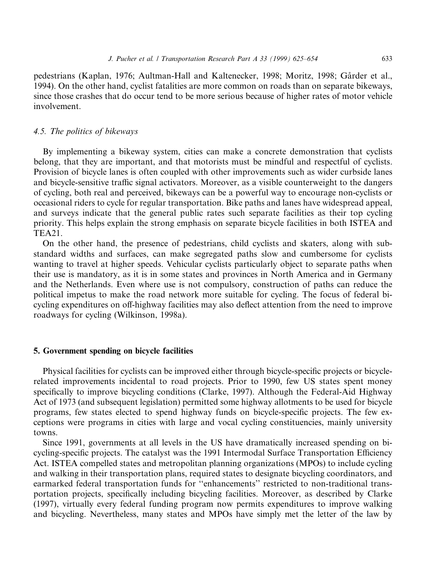pedestrians (Kaplan, 1976; Aultman-Hall and Kaltenecker, 1998; Moritz, 1998; Gårder et al., 1994). On the other hand, cyclist fatalities are more common on roads than on separate bikeways, since those crashes that do occur tend to be more serious because of higher rates of motor vehicle involvement.

## 4.5. The politics of bikeways

By implementing a bikeway system, cities can make a concrete demonstration that cyclists belong, that they are important, and that motorists must be mindful and respectful of cyclists. Provision of bicycle lanes is often coupled with other improvements such as wider curbside lanes and bicycle-sensitive traffic signal activators. Moreover, as a visible counterweight to the dangers of cycling, both real and perceived, bikeways can be a powerful way to encourage non-cyclists or occasional riders to cycle for regular transportation. Bike paths and lanes have widespread appeal, and surveys indicate that the general public rates such separate facilities as their top cycling priority. This helps explain the strong emphasis on separate bicycle facilities in both ISTEA and TEA21.

On the other hand, the presence of pedestrians, child cyclists and skaters, along with substandard widths and surfaces, can make segregated paths slow and cumbersome for cyclists wanting to travel at higher speeds. Vehicular cyclists particularly object to separate paths when their use is mandatory, as it is in some states and provinces in North America and in Germany and the Netherlands. Even where use is not compulsory, construction of paths can reduce the political impetus to make the road network more suitable for cycling. The focus of federal bicycling expenditures on off-highway facilities may also deflect attention from the need to improve roadways for cycling (Wilkinson, 1998a).

## 5. Government spending on bicycle facilities

Physical facilities for cyclists can be improved either through bicycle-specific projects or bicyclerelated improvements incidental to road projects. Prior to 1990, few US states spent money specifically to improve bicycling conditions (Clarke, 1997). Although the Federal-Aid Highway Act of 1973 (and subsequent legislation) permitted some highway allotments to be used for bicycle programs, few states elected to spend highway funds on bicycle-specific projects. The few exceptions were programs in cities with large and vocal cycling constituencies, mainly university towns.

Since 1991, governments at all levels in the US have dramatically increased spending on bicycling-specific projects. The catalyst was the 1991 Intermodal Surface Transportation Efficiency Act. ISTEA compelled states and metropolitan planning organizations (MPOs) to include cycling and walking in their transportation plans, required states to designate bicycling coordinators, and earmarked federal transportation funds for "enhancements" restricted to non-traditional transportation projects, specifically including bicycling facilities. Moreover, as described by Clarke (1997), virtually every federal funding program now permits expenditures to improve walking and bicycling. Nevertheless, many states and MPOs have simply met the letter of the law by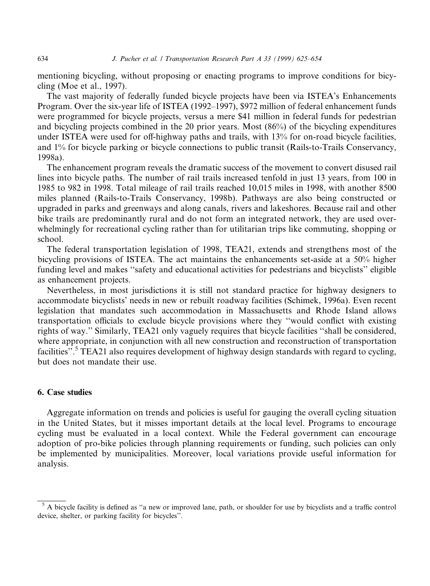mentioning bicycling, without proposing or enacting programs to improve conditions for bicycling (Moe et al., 1997).

The vast majority of federally funded bicycle projects have been via ISTEA's Enhancements Program. Over the six-year life of ISTEA (1992–1997), \$972 million of federal enhancement funds were programmed for bicycle projects, versus a mere \$41 million in federal funds for pedestrian and bicycling projects combined in the 20 prior years. Most (86%) of the bicycling expenditures under ISTEA were used for off-highway paths and trails, with 13% for on-road bicycle facilities, and 1% for bicycle parking or bicycle connections to public transit (Rails-to-Trails Conservancy, 1998a).

The enhancement program reveals the dramatic success of the movement to convert disused rail lines into bicycle paths. The number of rail trails increased tenfold in just 13 years, from 100 in 1985 to 982 in 1998. Total mileage of rail trails reached 10,015 miles in 1998, with another 8500 miles planned (Rails-to-Trails Conservancy, 1998b). Pathways are also being constructed or upgraded in parks and greenways and along canals, rivers and lakeshores. Because rail and other bike trails are predominantly rural and do not form an integrated network, they are used overwhelmingly for recreational cycling rather than for utilitarian trips like commuting, shopping or school.

The federal transportation legislation of 1998, TEA21, extends and strengthens most of the bicycling provisions of ISTEA. The act maintains the enhancements set-aside at a 50% higher funding level and makes "safety and educational activities for pedestrians and bicyclists" eligible as enhancement projects.

Nevertheless, in most jurisdictions it is still not standard practice for highway designers to accommodate bicyclists' needs in new or rebuilt roadway facilities (Schimek, 1996a). Even recent legislation that mandates such accommodation in Massachusetts and Rhode Island allows transportation officials to exclude bicycle provisions where they "would conflict with existing rights of way." Similarly, TEA21 only vaguely requires that bicycle facilities "shall be considered, where appropriate, in conjunction with all new construction and reconstruction of transportation facilities''.<sup>5</sup> TEA21 also requires development of highway design standards with regard to cycling, but does not mandate their use.

#### 6. Case studies

Aggregate information on trends and policies is useful for gauging the overall cycling situation in the United States, but it misses important details at the local level. Programs to encourage cycling must be evaluated in a local context. While the Federal government can encourage adoption of pro-bike policies through planning requirements or funding, such policies can only be implemented by municipalities. Moreover, local variations provide useful information for analysis.

 $<sup>5</sup>$  A bicycle facility is defined as "a new or improved lane, path, or shoulder for use by bicyclists and a traffic control</sup> device, shelter, or parking facility for bicycles''.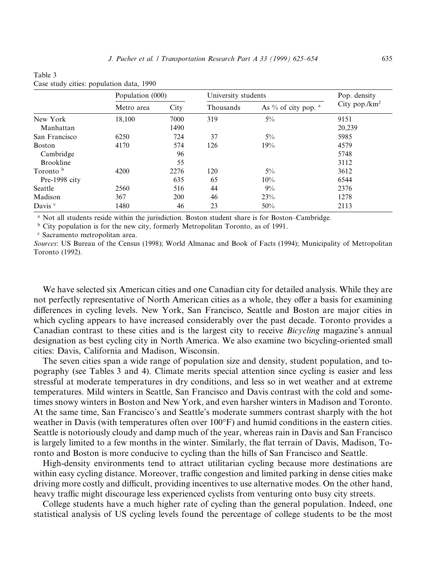|                  | Population (000) |      | University students |                         | Pop. density      |
|------------------|------------------|------|---------------------|-------------------------|-------------------|
|                  | Metro area       | City | Thousands           | As $%$ of city pop. $a$ | City pop./ $km^2$ |
| New York         | 18,100           | 7000 | 319                 | $5\%$                   | 9151              |
| Manhattan        |                  | 1490 |                     |                         | 20,239            |
| San Francisco    | 6250             | 724  | 37                  | $5\%$                   | 5985              |
| <b>Boston</b>    | 4170             | 574  | 126                 | 19%                     | 4579              |
| Cambridge        |                  | 96   |                     |                         | 5748              |
| <b>Brookline</b> |                  | 55   |                     |                         | 3112              |
| Toronto b        | 4200             | 2276 | 120                 | $5\%$                   | 3612              |
| Pre-1998 city    |                  | 635  | 65                  | 10%                     | 6544              |
| Seattle          | 2560             | 516  | 44                  | $9\%$                   | 2376              |
| Madison          | 367              | 200  | 46                  | 23%                     | 1278              |
| Davis c          | 1480             | 46   | 23                  | 50%                     | 2113              |

| rable 5 |                                          |  |
|---------|------------------------------------------|--|
|         | Case study cities: population data, 1990 |  |

 $T<sub>2</sub>1.1<sub>2</sub>$  3

<sup>a</sup> Not all students reside within the jurisdiction. Boston student share is for Boston-Cambridge.

<sup>b</sup> City population is for the new city, formerly Metropolitan Toronto, as of 1991.

<sup>c</sup> Sacramento metropolitan area.

Sources: US Bureau of the Census (1998); World Almanac and Book of Facts (1994); Municipality of Metropolitan Toronto (1992).

We have selected six American cities and one Canadian city for detailed analysis. While they are not perfectly representative of North American cities as a whole, they offer a basis for examining differences in cycling levels. New York, San Francisco, Seattle and Boston are major cities in which cycling appears to have increased considerably over the past decade. Toronto provides a Canadian contrast to these cities and is the largest city to receive Bicycling magazine's annual designation as best cycling city in North America. We also examine two bicycling-oriented small cities: Davis, California and Madison, Wisconsin.

The seven cities span a wide range of population size and density, student population, and topography (see Tables 3 and 4). Climate merits special attention since cycling is easier and less stressful at moderate temperatures in dry conditions, and less so in wet weather and at extreme temperatures. Mild winters in Seattle, San Francisco and Davis contrast with the cold and sometimes snowy winters in Boston and New York, and even harsher winters in Madison and Toronto. At the same time, San Francisco's and Seattle's moderate summers contrast sharply with the hot weather in Davis (with temperatures often over 100°F) and humid conditions in the eastern cities. Seattle is notoriously cloudy and damp much of the year, whereas rain in Davis and San Francisco is largely limited to a few months in the winter. Similarly, the flat terrain of Davis, Madison, Toronto and Boston is more conducive to cycling than the hills of San Francisco and Seattle.

High-density environments tend to attract utilitarian cycling because more destinations are within easy cycling distance. Moreover, traffic congestion and limited parking in dense cities make driving more costly and difficult, providing incentives to use alternative modes. On the other hand, heavy traffic might discourage less experienced cyclists from venturing onto busy city streets.

College students have a much higher rate of cycling than the general population. Indeed, one statistical analysis of US cycling levels found the percentage of college students to be the most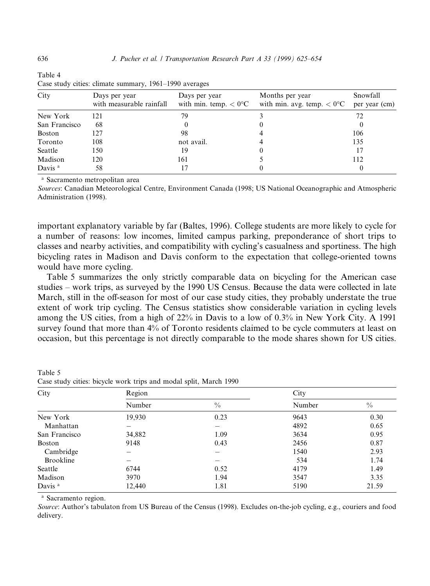| City               | Days per year<br>with measurable rainfall | Days per year<br>with min. temp. $< 0$ °C | Months per year<br>with min. avg. temp. $< 0$ °C | Snowfall<br>per year (cm) |
|--------------------|-------------------------------------------|-------------------------------------------|--------------------------------------------------|---------------------------|
| New York           | 121                                       | 79                                        |                                                  |                           |
| San Francisco      | 68                                        |                                           |                                                  |                           |
| <b>Boston</b>      | 127                                       | 98                                        |                                                  | 106                       |
| Toronto            | 108                                       | not avail.                                |                                                  | 135                       |
| Seattle            | 150                                       | 19                                        |                                                  |                           |
| Madison            | 120                                       | 161                                       |                                                  | 112                       |
| Davis <sup>a</sup> | 58                                        |                                           |                                                  |                           |

Table 4 Case study cities: climate summary, 1961–1990 averages

<sup>a</sup> Sacramento metropolitan area

Sources: Canadian Meteorological Centre, Environment Canada (1998; US National Oceanographic and Atmospheric Administration (1998).

important explanatory variable by far (Baltes, 1996). College students are more likely to cycle for a number of reasons: low incomes, limited campus parking, preponderance of short trips to classes and nearby activities, and compatibility with cycling's casualness and sportiness. The high bicycling rates in Madison and Davis conform to the expectation that college-oriented towns would have more cycling.

Table 5 summarizes the only strictly comparable data on bicycling for the American case studies - work trips, as surveyed by the 1990 US Census. Because the data were collected in late March, still in the off-season for most of our case study cities, they probably understate the true extent of work trip cycling. The Census statistics show considerable variation in cycling levels among the US cities, from a high of 22% in Davis to a low of 0.3% in New York City. A 1991 survey found that more than 4% of Toronto residents claimed to be cycle commuters at least on occasion, but this percentage is not directly comparable to the mode shares shown for US cities.

Table 5 Case study cities: bicycle work trips and modal split, March 1990

| City               | Region |               | City   |               |
|--------------------|--------|---------------|--------|---------------|
|                    | Number | $\frac{0}{0}$ | Number | $\frac{0}{0}$ |
| New York           | 19,930 | 0.23          | 9643   | 0.30          |
| Manhattan          |        | -             | 4892   | 0.65          |
| San Francisco      | 34,882 | 1.09          | 3634   | 0.95          |
| Boston             | 9148   | 0.43          | 2456   | 0.87          |
| Cambridge          |        | -             | 1540   | 2.93          |
| <b>Brookline</b>   |        | -             | 534    | 1.74          |
| Seattle            | 6744   | 0.52          | 4179   | 1.49          |
| Madison            | 3970   | 1.94          | 3547   | 3.35          |
| Davis <sup>a</sup> | 12,440 | 1.81          | 5190   | 21.59         |

<sup>a</sup> Sacramento region.

Source: Author's tabulaton from US Bureau of the Census (1998). Excludes on-the-job cycling, e.g., couriers and food delivery.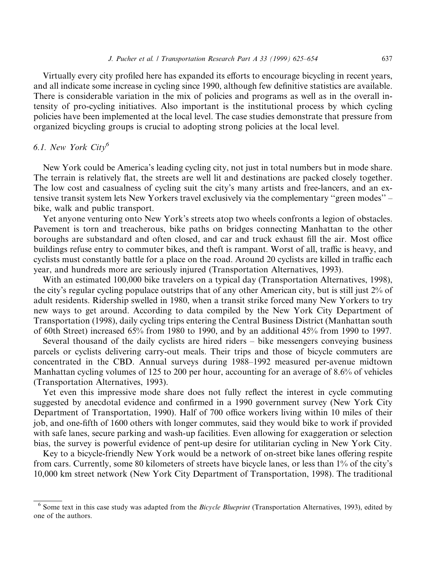Virtually every city profiled here has expanded its efforts to encourage bicycling in recent years, and all indicate some increase in cycling since 1990, although few definitive statistics are available. There is considerable variation in the mix of policies and programs as well as in the overall intensity of pro-cycling initiatives. Also important is the institutional process by which cycling policies have been implemented at the local level. The case studies demonstrate that pressure from organized bicycling groups is crucial to adopting strong policies at the local level.

# 6.1. New York City<sup>6</sup>

New York could be America's leading cycling city, not just in total numbers but in mode share. The terrain is relatively flat, the streets are well lit and destinations are packed closely together. The low cost and casualness of cycling suit the city's many artists and free-lancers, and an extensive transit system lets New Yorkers travel exclusively via the complementary "green modes" – bike, walk and public transport.

Yet anyone venturing onto New York's streets atop two wheels confronts a legion of obstacles. Pavement is torn and treacherous, bike paths on bridges connecting Manhattan to the other boroughs are substandard and often closed, and car and truck exhaust fill the air. Most office buildings refuse entry to commuter bikes, and theft is rampant. Worst of all, traffic is heavy, and cyclists must constantly battle for a place on the road. Around 20 cyclists are killed in traffic each year, and hundreds more are seriously injured (Transportation Alternatives, 1993).

With an estimated 100,000 bike travelers on a typical day (Transportation Alternatives, 1998), the city's regular cycling populace outstrips that of any other American city, but is still just 2% of adult residents. Ridership swelled in 1980, when a transit strike forced many New Yorkers to try new ways to get around. According to data compiled by the New York City Department of Transportation (1998), daily cycling trips entering the Central Business District (Manhattan south of 60th Street) increased 65% from 1980 to 1990, and by an additional 45% from 1990 to 1997.

Several thousand of the daily cyclists are hired riders  $-\overline{\text{bike}}$  messengers conveying business parcels or cyclists delivering carry-out meals. Their trips and those of bicycle commuters are concentrated in the CBD. Annual surveys during 1988–1992 measured per-avenue midtown Manhattan cycling volumes of 125 to 200 per hour, accounting for an average of 8.6% of vehicles (Transportation Alternatives, 1993).

Yet even this impressive mode share does not fully reflect the interest in cycle commuting suggested by anecdotal evidence and confirmed in a 1990 government survey (New York City Department of Transportation, 1990). Half of 700 office workers living within 10 miles of their job, and one-fifth of 1600 others with longer commutes, said they would bike to work if provided with safe lanes, secure parking and wash-up facilities. Even allowing for exaggeration or selection bias, the survey is powerful evidence of pent-up desire for utilitarian cycling in New York City.

Key to a bicycle-friendly New York would be a network of on-street bike lanes offering respite from cars. Currently, some 80 kilometers of streets have bicycle lanes, or less than 1% of the city's 10,000 km street network (New York City Department of Transportation, 1998). The traditional

 $6$  Some text in this case study was adapted from the *Bicycle Blueprint* (Transportation Alternatives, 1993), edited by one of the authors.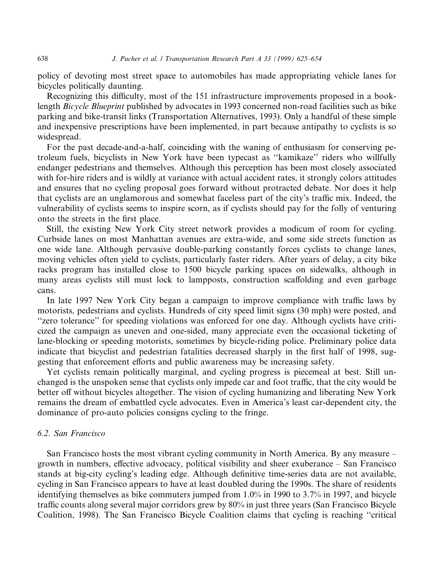policy of devoting most street space to automobiles has made appropriating vehicle lanes for bicycles politically daunting.

Recognizing this difficulty, most of the 151 infrastructure improvements proposed in a booklength *Bicycle Blueprint* published by advocates in 1993 concerned non-road facilities such as bike parking and bike-transit links (Transportation Alternatives, 1993). Only a handful of these simple and inexpensive prescriptions have been implemented, in part because antipathy to cyclists is so widespread.

For the past decade-and-a-half, coinciding with the waning of enthusiasm for conserving petroleum fuels, bicyclists in New York have been typecast as "kamikaze" riders who willfully endanger pedestrians and themselves. Although this perception has been most closely associated with for-hire riders and is wildly at variance with actual accident rates, it strongly colors attitudes and ensures that no cycling proposal goes forward without protracted debate. Nor does it help that cyclists are an unglamorous and somewhat faceless part of the city's traffic mix. Indeed, the vulnerability of cyclists seems to inspire scorn, as if cyclists should pay for the folly of venturing onto the streets in the first place.

Still, the existing New York City street network provides a modicum of room for cycling. Curbside lanes on most Manhattan avenues are extra-wide, and some side streets function as one wide lane. Although pervasive double-parking constantly forces cyclists to change lanes, moving vehicles often yield to cyclists, particularly faster riders. After years of delay, a city bike racks program has installed close to 1500 bicycle parking spaces on sidewalks, although in many areas cyclists still must lock to lampposts, construction scaffolding and even garbage cans.

In late 1997 New York City began a campaign to improve compliance with traffic laws by motorists, pedestrians and cyclists. Hundreds of city speed limit signs (30 mph) were posted, and "zero tolerance" for speeding violations was enforced for one day. Although cyclists have criticized the campaign as uneven and one-sided, many appreciate even the occasional ticketing of lane-blocking or speeding motorists, sometimes by bicycle-riding police. Preliminary police data indicate that bicyclist and pedestrian fatalities decreased sharply in the first half of 1998, suggesting that enforcement efforts and public awareness may be increasing safety.

Yet cyclists remain politically marginal, and cycling progress is piecemeal at best. Still unchanged is the unspoken sense that cyclists only impede car and foot traffic, that the city would be better off without bicycles altogether. The vision of cycling humanizing and liberating New York remains the dream of embattled cycle advocates. Even in America's least car-dependent city, the dominance of pro-auto policies consigns cycling to the fringe.

## 6.2. San Francisco

San Francisco hosts the most vibrant cycling community in North America. By any measure  $-\frac{1}{2}$ growth in numbers, effective advocacy, political visibility and sheer exuberance  $-\$ San Francisco stands at big-city cycling's leading edge. Although definitive time-series data are not available, cycling in San Francisco appears to have at least doubled during the 1990s. The share of residents identifying themselves as bike commuters jumped from 1.0% in 1990 to 3.7% in 1997, and bicycle traffic counts along several major corridors grew by 80% in just three years (San Francisco Bicycle Coalition, 1998). The San Francisco Bicycle Coalition claims that cycling is reaching ``critical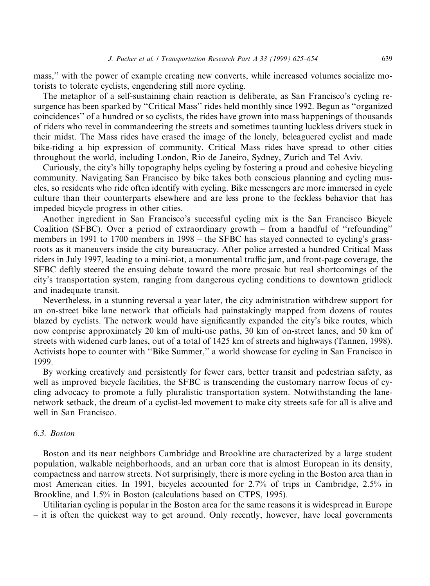mass,'' with the power of example creating new converts, while increased volumes socialize motorists to tolerate cyclists, engendering still more cycling.

The metaphor of a self-sustaining chain reaction is deliberate, as San Francisco's cycling resurgence has been sparked by "Critical Mass" rides held monthly since 1992. Begun as "organized" coincidences'' of a hundred or so cyclists, the rides have grown into mass happenings of thousands of riders who revel in commandeering the streets and sometimes taunting luckless drivers stuck in their midst. The Mass rides have erased the image of the lonely, beleaguered cyclist and made bike-riding a hip expression of community. Critical Mass rides have spread to other cities throughout the world, including London, Rio de Janeiro, Sydney, Zurich and Tel Aviv.

Curiously, the city's hilly topography helps cycling by fostering a proud and cohesive bicycling community. Navigating San Francisco by bike takes both conscious planning and cycling muscles, so residents who ride often identify with cycling. Bike messengers are more immersed in cycle culture than their counterparts elsewhere and are less prone to the feckless behavior that has impeded bicycle progress in other cities.

Another ingredient in San Francisco's successful cycling mix is the San Francisco Bicycle Coalition (SFBC). Over a period of extraordinary growth  $-$  from a handful of "refounding" members in 1991 to 1700 members in  $1998 -$  the SFBC has stayed connected to cycling's grassroots as it maneuvers inside the city bureaucracy. After police arrested a hundred Critical Mass riders in July 1997, leading to a mini-riot, a monumental traffic jam, and front-page coverage, the SFBC deftly steered the ensuing debate toward the more prosaic but real shortcomings of the city's transportation system, ranging from dangerous cycling conditions to downtown gridlock and inadequate transit.

Nevertheless, in a stunning reversal a year later, the city administration withdrew support for an on-street bike lane network that officials had painstakingly mapped from dozens of routes blazed by cyclists. The network would have significantly expanded the city's bike routes, which now comprise approximately 20 km of multi-use paths, 30 km of on-street lanes, and 50 km of streets with widened curb lanes, out of a total of 1425 km of streets and highways (Tannen, 1998). Activists hope to counter with "Bike Summer," a world showcase for cycling in San Francisco in 1999.

By working creatively and persistently for fewer cars, better transit and pedestrian safety, as well as improved bicycle facilities, the SFBC is transcending the customary narrow focus of cycling advocacy to promote a fully pluralistic transportation system. Notwithstanding the lanenetwork setback, the dream of a cyclist-led movement to make city streets safe for all is alive and well in San Francisco.

#### 6.3. Boston

Boston and its near neighbors Cambridge and Brookline are characterized by a large student population, walkable neighborhoods, and an urban core that is almost European in its density, compactness and narrow streets. Not surprisingly, there is more cycling in the Boston area than in most American cities. In 1991, bicycles accounted for 2.7% of trips in Cambridge, 2.5% in Brookline, and 1.5% in Boston (calculations based on CTPS, 1995).

Utilitarian cycling is popular in the Boston area for the same reasons it is widespread in Europe  $-$  it is often the quickest way to get around. Only recently, however, have local governments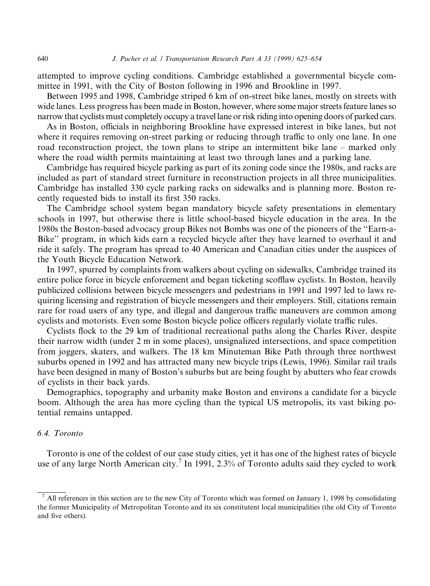attempted to improve cycling conditions. Cambridge established a governmental bicycle committee in 1991, with the City of Boston following in 1996 and Brookline in 1997.

Between 1995 and 1998, Cambridge striped 6 km of on-street bike lanes, mostly on streets with wide lanes. Less progress has been made in Boston, however, where some major streets feature lanes so narrow that cyclists must completely occupy a travel lane orrisk riding into opening doors of parked cars.

As in Boston, officials in neighboring Brookline have expressed interest in bike lanes, but not where it requires removing on-street parking or reducing through traffic to only one lane. In one road reconstruction project, the town plans to stripe an intermittent bike lane  $-$  marked only where the road width permits maintaining at least two through lanes and a parking lane.

Cambridge has required bicycle parking as part of its zoning code since the 1980s, and racks are included as part of standard street furniture in reconstruction projects in all three municipalities. Cambridge has installed 330 cycle parking racks on sidewalks and is planning more. Boston recently requested bids to install its first 350 racks.

The Cambridge school system began mandatory bicycle safety presentations in elementary schools in 1997, but otherwise there is little school-based bicycle education in the area. In the 1980s the Boston-based advocacy group Bikes not Bombs was one of the pioneers of the "Earn-a-Bike'' program, in which kids earn a recycled bicycle after they have learned to overhaul it and ride it safely. The program has spread to 40 American and Canadian cities under the auspices of the Youth Bicycle Education Network.

In 1997, spurred by complaints from walkers about cycling on sidewalks, Cambridge trained its entire police force in bicycle enforcement and began ticketing scofflaw cyclists. In Boston, heavily publicized collisions between bicycle messengers and pedestrians in 1991 and 1997 led to laws requiring licensing and registration of bicycle messengers and their employers. Still, citations remain rare for road users of any type, and illegal and dangerous traffic maneuvers are common among cyclists and motorists. Even some Boston bicycle police officers regularly violate traffic rules.

Cyclists flock to the 29 km of traditional recreational paths along the Charles River, despite their narrow width (under 2 m in some places), unsignalized intersections, and space competition from joggers, skaters, and walkers. The 18 km Minuteman Bike Path through three northwest suburbs opened in 1992 and has attracted many new bicycle trips (Lewis, 1996). Similar rail trails have been designed in many of Boston's suburbs but are being fought by abutters who fear crowds of cyclists in their back yards.

Demographics, topography and urbanity make Boston and environs a candidate for a bicycle boom. Although the area has more cycling than the typical US metropolis, its vast biking potential remains untapped.

# 6.4. Toronto

Toronto is one of the coldest of our case study cities, yet it has one of the highest rates of bicycle use of any large North American city.<sup>7</sup> In 1991, 2.3% of Toronto adults said they cycled to work

<sup>&</sup>lt;sup>7</sup> All references in this section are to the new City of Toronto which was formed on January 1, 1998 by consolidating the former Municipality of Metropolitan Toronto and its six constitutent local municipalities (the old City of Toronto and five others).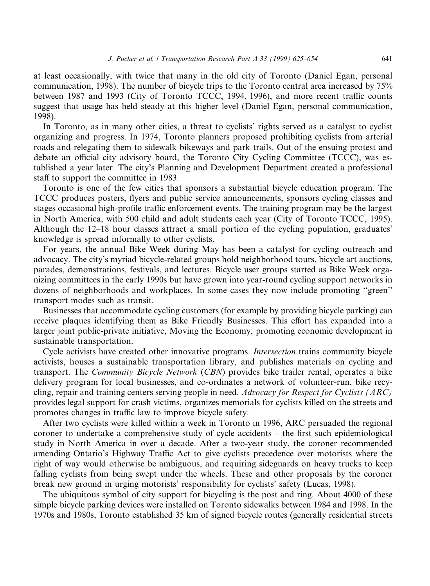at least occasionally, with twice that many in the old city of Toronto (Daniel Egan, personal communication, 1998). The number of bicycle trips to the Toronto central area increased by 75% between 1987 and 1993 (City of Toronto TCCC, 1994, 1996), and more recent traffic counts suggest that usage has held steady at this higher level (Daniel Egan, personal communication, 1998).

In Toronto, as in many other cities, a threat to cyclists' rights served as a catalyst to cyclist organizing and progress. In 1974, Toronto planners proposed prohibiting cyclists from arterial roads and relegating them to sidewalk bikeways and park trails. Out of the ensuing protest and debate an official city advisory board, the Toronto City Cycling Committee (TCCC), was established a year later. The city's Planning and Development Department created a professional staff to support the committee in 1983.

Toronto is one of the few cities that sponsors a substantial bicycle education program. The TCCC produces posters, flyers and public service announcements, sponsors cycling classes and stages occasional high-profile traffic enforcement events. The training program may be the largest in North America, with 500 child and adult students each year (City of Toronto TCCC, 1995). Although the  $12-18$  hour classes attract a small portion of the cycling population, graduates' knowledge is spread informally to other cyclists.

For years, the annual Bike Week during May has been a catalyst for cycling outreach and advocacy. The city's myriad bicycle-related groups hold neighborhood tours, bicycle art auctions, parades, demonstrations, festivals, and lectures. Bicycle user groups started as Bike Week organizing committees in the early 1990s but have grown into year-round cycling support networks in dozens of neighborhoods and workplaces. In some cases they now include promoting "green" transport modes such as transit.

Businesses that accommodate cycling customers (for example by providing bicycle parking) can receive plaques identifying them as Bike Friendly Businesses. This effort has expanded into a larger joint public-private initiative, Moving the Economy, promoting economic development in sustainable transportation.

Cycle activists have created other innovative programs. Intersection trains community bicycle activists, houses a sustainable transportation library, and publishes materials on cycling and transport. The *Community Bicycle Network* (*CBN*) provides bike trailer rental, operates a bike delivery program for local businesses, and co-ordinates a network of volunteer-run, bike recycling, repair and training centers serving people in need. Advocacy for Respect for Cyclists (ARC) provides legal support for crash victims, organizes memorials for cyclists killed on the streets and promotes changes in traffic law to improve bicycle safety.

After two cyclists were killed within a week in Toronto in 1996, ARC persuaded the regional coroner to undertake a comprehensive study of cycle accidents  $-$  the first such epidemiological study in North America in over a decade. After a two-year study, the coroner recommended amending Ontario's Highway Traffic Act to give cyclists precedence over motorists where the right of way would otherwise be ambiguous, and requiring sideguards on heavy trucks to keep falling cyclists from being swept under the wheels. These and other proposals by the coroner break new ground in urging motorists' responsibility for cyclists' safety (Lucas, 1998).

The ubiquitous symbol of city support for bicycling is the post and ring. About 4000 of these simple bicycle parking devices were installed on Toronto sidewalks between 1984 and 1998. In the 1970s and 1980s, Toronto established 35 km of signed bicycle routes (generally residential streets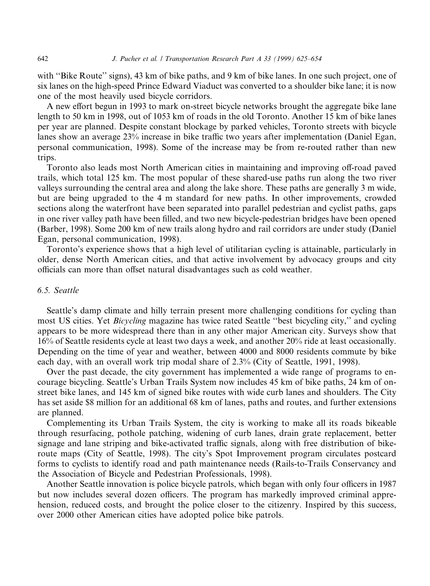with "Bike Route" signs), 43 km of bike paths, and 9 km of bike lanes. In one such project, one of six lanes on the high-speed Prince Edward Viaduct was converted to a shoulder bike lane; it is now one of the most heavily used bicycle corridors.

A new effort begun in 1993 to mark on-street bicycle networks brought the aggregate bike lane length to 50 km in 1998, out of 1053 km of roads in the old Toronto. Another 15 km of bike lanes per year are planned. Despite constant blockage by parked vehicles, Toronto streets with bicycle lanes show an average  $23\%$  increase in bike traffic two years after implementation (Daniel Egan, personal communication, 1998). Some of the increase may be from re-routed rather than new trips.

Toronto also leads most North American cities in maintaining and improving off-road paved trails, which total 125 km. The most popular of these shared-use paths run along the two river valleys surrounding the central area and along the lake shore. These paths are generally 3 m wide, but are being upgraded to the 4 m standard for new paths. In other improvements, crowded sections along the waterfront have been separated into parallel pedestrian and cyclist paths, gaps in one river valley path have been filled, and two new bicycle-pedestrian bridges have been opened (Barber, 1998). Some 200 km of new trails along hydro and rail corridors are under study (Daniel Egan, personal communication, 1998).

Toronto's experience shows that a high level of utilitarian cycling is attainable, particularly in older, dense North American cities, and that active involvement by advocacy groups and city officials can more than offset natural disadvantages such as cold weather.

# 6.5. Seattle

Seattle's damp climate and hilly terrain present more challenging conditions for cycling than most US cities. Yet *Bicycling* magazine has twice rated Seattle "best bicycling city," and cycling appears to be more widespread there than in any other major American city. Surveys show that 16% of Seattle residents cycle at least two days a week, and another 20% ride at least occasionally. Depending on the time of year and weather, between 4000 and 8000 residents commute by bike each day, with an overall work trip modal share of 2.3% (City of Seattle, 1991, 1998).

Over the past decade, the city government has implemented a wide range of programs to encourage bicycling. Seattle's Urban Trails System now includes 45 km of bike paths, 24 km of onstreet bike lanes, and 145 km of signed bike routes with wide curb lanes and shoulders. The City has set aside \$8 million for an additional 68 km of lanes, paths and routes, and further extensions are planned.

Complementing its Urban Trails System, the city is working to make all its roads bikeable through resurfacing, pothole patching, widening of curb lanes, drain grate replacement, better signage and lane striping and bike-activated traffic signals, along with free distribution of bikeroute maps (City of Seattle, 1998). The city's Spot Improvement program circulates postcard forms to cyclists to identify road and path maintenance needs (Rails-to-Trails Conservancy and the Association of Bicycle and Pedestrian Professionals, 1998).

Another Seattle innovation is police bicycle patrols, which began with only four officers in 1987 but now includes several dozen officers. The program has markedly improved criminal apprehension, reduced costs, and brought the police closer to the citizenry. Inspired by this success, over 2000 other American cities have adopted police bike patrols.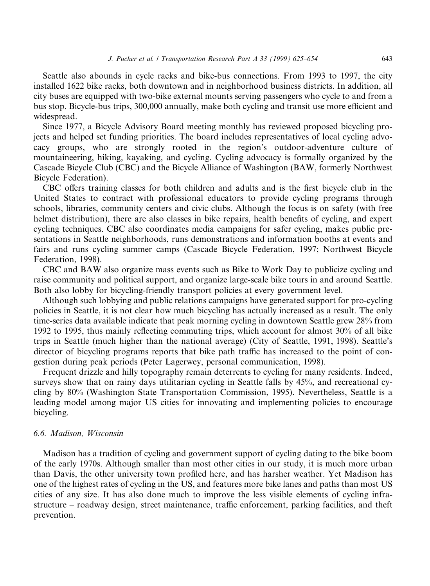Seattle also abounds in cycle racks and bike-bus connections. From 1993 to 1997, the city installed 1622 bike racks, both downtown and in neighborhood business districts. In addition, all city buses are equipped with two-bike external mounts serving passengers who cycle to and from a bus stop. Bicycle-bus trips, 300,000 annually, make both cycling and transit use more efficient and widespread.

Since 1977, a Bicycle Advisory Board meeting monthly has reviewed proposed bicycling projects and helped set funding priorities. The board includes representatives of local cycling advocacy groups, who are strongly rooted in the region's outdoor-adventure culture of mountaineering, hiking, kayaking, and cycling. Cycling advocacy is formally organized by the Cascade Bicycle Club (CBC) and the Bicycle Alliance of Washington (BAW, formerly Northwest Bicycle Federation).

CBC offers training classes for both children and adults and is the first bicycle club in the United States to contract with professional educators to provide cycling programs through schools, libraries, community centers and civic clubs. Although the focus is on safety (with free helmet distribution), there are also classes in bike repairs, health benefits of cycling, and expert cycling techniques. CBC also coordinates media campaigns for safer cycling, makes public presentations in Seattle neighborhoods, runs demonstrations and information booths at events and fairs and runs cycling summer camps (Cascade Bicycle Federation, 1997; Northwest Bicycle Federation, 1998).

CBC and BAW also organize mass events such as Bike to Work Day to publicize cycling and raise community and political support, and organize large-scale bike tours in and around Seattle. Both also lobby for bicycling-friendly transport policies at every government level.

Although such lobbying and public relations campaigns have generated support for pro-cycling policies in Seattle, it is not clear how much bicycling has actually increased as a result. The only time-series data available indicate that peak morning cycling in downtown Seattle grew 28% from 1992 to 1995, thus mainly reflecting commuting trips, which account for almost  $30\%$  of all bike trips in Seattle (much higher than the national average) (City of Seattle, 1991, 1998). Seattle's director of bicycling programs reports that bike path traffic has increased to the point of congestion during peak periods (Peter Lagerwey, personal communication, 1998).

Frequent drizzle and hilly topography remain deterrents to cycling for many residents. Indeed, surveys show that on rainy days utilitarian cycling in Seattle falls by 45%, and recreational cycling by 80% (Washington State Transportation Commission, 1995). Nevertheless, Seattle is a leading model among major US cities for innovating and implementing policies to encourage bicycling.

# 6.6. Madison, Wisconsin

Madison has a tradition of cycling and government support of cycling dating to the bike boom of the early 1970s. Although smaller than most other cities in our study, it is much more urban than Davis, the other university town profiled here, and has harsher weather. Yet Madison has one of the highest rates of cycling in the US, and features more bike lanes and paths than most US cities of any size. It has also done much to improve the less visible elements of cycling infrastructure – roadway design, street maintenance, traffic enforcement, parking facilities, and theft prevention.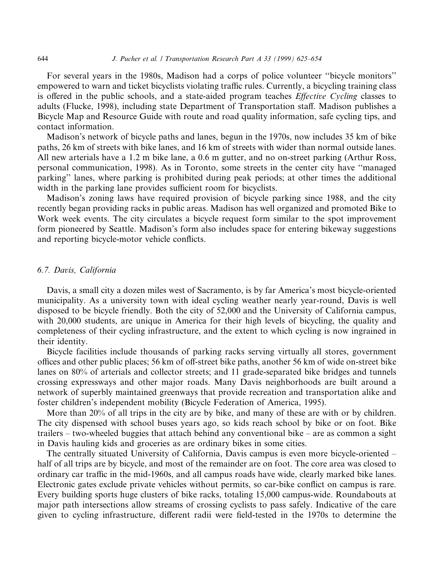For several years in the 1980s, Madison had a corps of police volunteer "bicycle monitors" empowered to warn and ticket bicyclists violating traffic rules. Currently, a bicycling training class is offered in the public schools, and a state-aided program teaches *Effective Cycling* classes to adults (Flucke, 1998), including state Department of Transportation staff. Madison publishes a Bicycle Map and Resource Guide with route and road quality information, safe cycling tips, and contact information.

Madison's network of bicycle paths and lanes, begun in the 1970s, now includes 35 km of bike paths, 26 km of streets with bike lanes, and 16 km of streets with wider than normal outside lanes. All new arterials have a 1.2 m bike lane, a 0.6 m gutter, and no on-street parking (Arthur Ross, personal communication, 1998). As in Toronto, some streets in the center city have ``managed parking'' lanes, where parking is prohibited during peak periods; at other times the additional width in the parking lane provides sufficient room for bicyclists.

Madison's zoning laws have required provision of bicycle parking since 1988, and the city recently began providing racks in public areas. Madison has well organized and promoted Bike to Work week events. The city circulates a bicycle request form similar to the spot improvement form pioneered by Seattle. Madison's form also includes space for entering bikeway suggestions and reporting bicycle-motor vehicle conflicts.

## 6.7. Davis, California

Davis, a small city a dozen miles west of Sacramento, is by far America's most bicycle-oriented municipality. As a university town with ideal cycling weather nearly year-round, Davis is well disposed to be bicycle friendly. Both the city of 52,000 and the University of California campus, with 20,000 students, are unique in America for their high levels of bicycling, the quality and completeness of their cycling infrastructure, and the extent to which cycling is now ingrained in their identity.

Bicycle facilities include thousands of parking racks serving virtually all stores, government offices and other public places; 56 km of off-street bike paths, another 56 km of wide on-street bike lanes on 80% of arterials and collector streets; and 11 grade-separated bike bridges and tunnels crossing expressways and other major roads. Many Davis neighborhoods are built around a network of superbly maintained greenways that provide recreation and transportation alike and foster children's independent mobility (Bicycle Federation of America, 1995).

More than 20% of all trips in the city are by bike, and many of these are with or by children. The city dispensed with school buses years ago, so kids reach school by bike or on foot. Bike trailers  $-$  two-wheeled buggies that attach behind any conventional bike  $-$  are as common a sight in Davis hauling kids and groceries as are ordinary bikes in some cities.

The centrally situated University of California, Davis campus is even more bicycle-oriented  $-\frac{1}{2}$ half of all trips are by bicycle, and most of the remainder are on foot. The core area was closed to ordinary car traffic in the mid-1960s, and all campus roads have wide, clearly marked bike lanes. Electronic gates exclude private vehicles without permits, so car-bike conflict on campus is rare. Every building sports huge clusters of bike racks, totaling 15,000 campus-wide. Roundabouts at major path intersections allow streams of crossing cyclists to pass safely. Indicative of the care given to cycling infrastructure, different radii were field-tested in the 1970s to determine the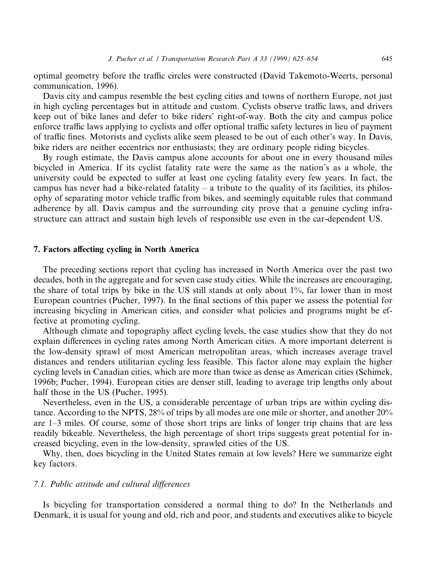optimal geometry before the traffic circles were constructed (David Takemoto-Weerts, personal communication, 1996).

Davis city and campus resemble the best cycling cities and towns of northern Europe, not just in high cycling percentages but in attitude and custom. Cyclists observe traffic laws, and drivers keep out of bike lanes and defer to bike riders' right-of-way. Both the city and campus police enforce traffic laws applying to cyclists and offer optional traffic safety lectures in lieu of payment of traffic fines. Motorists and cyclists alike seem pleased to be out of each other's way. In Davis, bike riders are neither eccentrics nor enthusiasts; they are ordinary people riding bicycles.

By rough estimate, the Davis campus alone accounts for about one in every thousand miles bicycled in America. If its cyclist fatality rate were the same as the nation's as a whole, the university could be expected to suffer at least one cycling fatality every few years. In fact, the campus has never had a bike-related fatality  $-$  a tribute to the quality of its facilities, its philosophy of separating motor vehicle traffic from bikes, and seemingly equitable rules that command adherence by all. Davis campus and the surrounding city prove that a genuine cycling infrastructure can attract and sustain high levels of responsible use even in the car-dependent US.

#### 7. Factors affecting cycling in North America

The preceding sections report that cycling has increased in North America over the past two decades, both in the aggregate and for seven case study cities. While the increases are encouraging, the share of total trips by bike in the US still stands at only about 1%, far lower than in most European countries (Pucher, 1997). In the final sections of this paper we assess the potential for increasing bicycling in American cities, and consider what policies and programs might be effective at promoting cycling.

Although climate and topography affect cycling levels, the case studies show that they do not explain differences in cycling rates among North American cities. A more important deterrent is the low-density sprawl of most American metropolitan areas, which increases average travel distances and renders utilitarian cycling less feasible. This factor alone may explain the higher cycling levels in Canadian cities, which are more than twice as dense as American cities (Schimek, 1996b; Pucher, 1994). European cities are denser still, leading to average trip lengths only about half those in the US (Pucher, 1995).

Nevertheless, even in the US, a considerable percentage of urban trips are within cycling distance. According to the NPTS, 28% of trips by all modes are one mile or shorter, and another 20% are  $1-3$  miles. Of course, some of those short trips are links of longer trip chains that are less readily bikeable. Nevertheless, the high percentage of short trips suggests great potential for increased bicycling, even in the low-density, sprawled cities of the US.

Why, then, does bicycling in the United States remain at low levels? Here we summarize eight key factors.

## 7.1. Public attitude and cultural differences

Is bicycling for transportation considered a normal thing to do? In the Netherlands and Denmark, it is usual for young and old, rich and poor, and students and executives alike to bicycle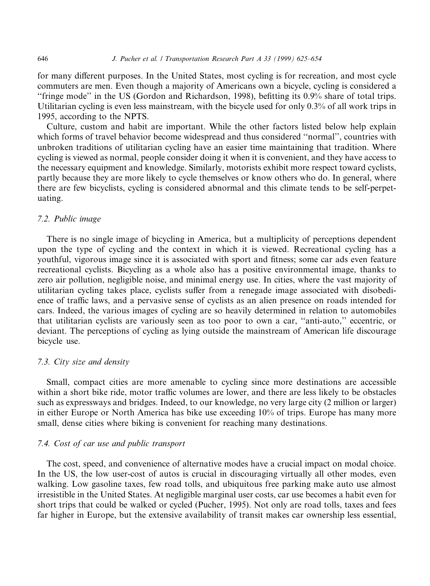for many different purposes. In the United States, most cycling is for recreation, and most cycle commuters are men. Even though a majority of Americans own a bicycle, cycling is considered a "fringe mode" in the US (Gordon and Richardson, 1998), befitting its 0.9% share of total trips. Utilitarian cycling is even less mainstream, with the bicycle used for only 0.3% of all work trips in 1995, according to the NPTS.

Culture, custom and habit are important. While the other factors listed below help explain which forms of travel behavior become widespread and thus considered "normal", countries with unbroken traditions of utilitarian cycling have an easier time maintaining that tradition. Where cycling is viewed as normal, people consider doing it when it is convenient, and they have access to the necessary equipment and knowledge. Similarly, motorists exhibit more respect toward cyclists, partly because they are more likely to cycle themselves or know others who do. In general, where there are few bicyclists, cycling is considered abnormal and this climate tends to be self-perpetuating.

#### 7.2. Public image

There is no single image of bicycling in America, but a multiplicity of perceptions dependent upon the type of cycling and the context in which it is viewed. Recreational cycling has a youthful, vigorous image since it is associated with sport and fitness; some car ads even feature recreational cyclists. Bicycling as a whole also has a positive environmental image, thanks to zero air pollution, negligible noise, and minimal energy use. In cities, where the vast majority of utilitarian cycling takes place, cyclists suffer from a renegade image associated with disobedience of traffic laws, and a pervasive sense of cyclists as an alien presence on roads intended for cars. Indeed, the various images of cycling are so heavily determined in relation to automobiles that utilitarian cyclists are variously seen as too poor to own a car, ``anti-auto,'' eccentric, or deviant. The perceptions of cycling as lying outside the mainstream of American life discourage bicycle use.

## 7.3. City size and density

Small, compact cities are more amenable to cycling since more destinations are accessible within a short bike ride, motor traffic volumes are lower, and there are less likely to be obstacles such as expressways and bridges. Indeed, to our knowledge, no very large city (2 million or larger) in either Europe or North America has bike use exceeding 10% of trips. Europe has many more small, dense cities where biking is convenient for reaching many destinations.

#### 7.4. Cost of car use and public transport

The cost, speed, and convenience of alternative modes have a crucial impact on modal choice. In the US, the low user-cost of autos is crucial in discouraging virtually all other modes, even walking. Low gasoline taxes, few road tolls, and ubiquitous free parking make auto use almost irresistible in the United States. At negligible marginal user costs, car use becomes a habit even for short trips that could be walked or cycled (Pucher, 1995). Not only are road tolls, taxes and fees far higher in Europe, but the extensive availability of transit makes car ownership less essential,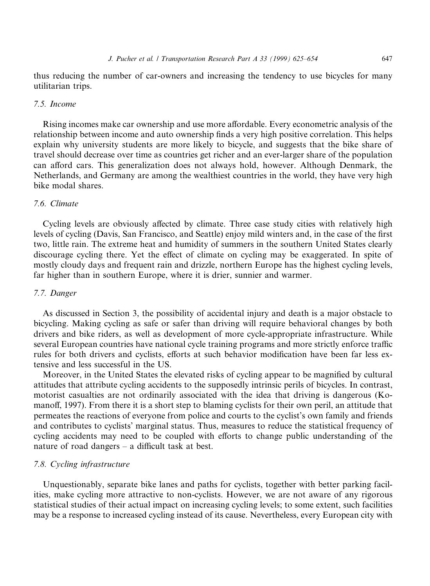thus reducing the number of car-owners and increasing the tendency to use bicycles for many utilitarian trips.

## 7.5. Income

Rising incomes make car ownership and use more affordable. Every econometric analysis of the relationship between income and auto ownership finds a very high positive correlation. This helps explain why university students are more likely to bicycle, and suggests that the bike share of travel should decrease over time as countries get richer and an ever-larger share of the population can afford cars. This generalization does not always hold, however. Although Denmark, the Netherlands, and Germany are among the wealthiest countries in the world, they have very high bike modal shares.

# 7.6. Climate

Cycling levels are obviously affected by climate. Three case study cities with relatively high levels of cycling (Davis, San Francisco, and Seattle) enjoy mild winters and, in the case of the first two, little rain. The extreme heat and humidity of summers in the southern United States clearly discourage cycling there. Yet the effect of climate on cycling may be exaggerated. In spite of mostly cloudy days and frequent rain and drizzle, northern Europe has the highest cycling levels, far higher than in southern Europe, where it is drier, sunnier and warmer.

#### 7.7. Danger

As discussed in Section 3, the possibility of accidental injury and death is a major obstacle to bicycling. Making cycling as safe or safer than driving will require behavioral changes by both drivers and bike riders, as well as development of more cycle-appropriate infrastructure. While several European countries have national cycle training programs and more strictly enforce traffic rules for both drivers and cyclists, efforts at such behavior modification have been far less extensive and less successful in the US.

Moreover, in the United States the elevated risks of cycling appear to be magnified by cultural attitudes that attribute cycling accidents to the supposedly intrinsic perils of bicycles. In contrast, motorist casualties are not ordinarily associated with the idea that driving is dangerous (Komanoff, 1997). From there it is a short step to blaming cyclists for their own peril, an attitude that permeates the reactions of everyone from police and courts to the cyclist's own family and friends and contributes to cyclists' marginal status. Thus, measures to reduce the statistical frequency of cycling accidents may need to be coupled with efforts to change public understanding of the nature of road dangers  $-$  a difficult task at best.

## 7.8. Cycling infrastructure

Unquestionably, separate bike lanes and paths for cyclists, together with better parking facilities, make cycling more attractive to non-cyclists. However, we are not aware of any rigorous statistical studies of their actual impact on increasing cycling levels; to some extent, such facilities may be a response to increased cycling instead of its cause. Nevertheless, every European city with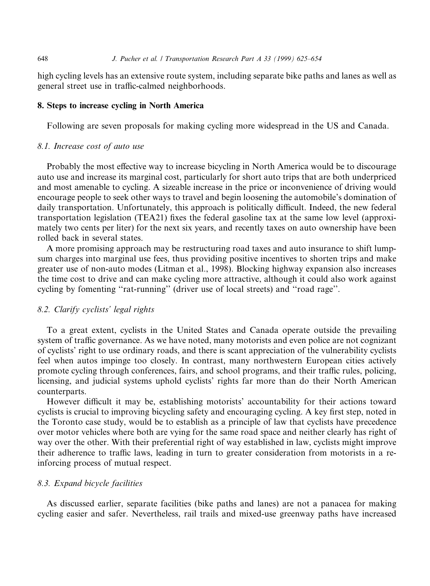high cycling levels has an extensive route system, including separate bike paths and lanes as well as general street use in traffic-calmed neighborhoods.

## 8. Steps to increase cycling in North America

Following are seven proposals for making cycling more widespread in the US and Canada.

## 8.1. Increase cost of auto use

Probably the most effective way to increase bicycling in North America would be to discourage auto use and increase its marginal cost, particularly for short auto trips that are both underpriced and most amenable to cycling. A sizeable increase in the price or inconvenience of driving would encourage people to seek other ways to travel and begin loosening the automobile's domination of daily transportation. Unfortunately, this approach is politically difficult. Indeed, the new federal transportation legislation (TEA21) fixes the federal gasoline tax at the same low level (approximately two cents per liter) for the next six years, and recently taxes on auto ownership have been rolled back in several states.

A more promising approach may be restructuring road taxes and auto insurance to shift lumpsum charges into marginal use fees, thus providing positive incentives to shorten trips and make greater use of non-auto modes (Litman et al., 1998). Blocking highway expansion also increases the time cost to drive and can make cycling more attractive, although it could also work against cycling by fomenting "rat-running" (driver use of local streets) and "road rage".

# 8.2. Clarify cyclists' legal rights

To a great extent, cyclists in the United States and Canada operate outside the prevailing system of traffic governance. As we have noted, many motorists and even police are not cognizant of cyclists' right to use ordinary roads, and there is scant appreciation of the vulnerability cyclists feel when autos impinge too closely. In contrast, many northwestern European cities actively promote cycling through conferences, fairs, and school programs, and their traffic rules, policing, licensing, and judicial systems uphold cyclists' rights far more than do their North American counterparts.

However difficult it may be, establishing motorists' accountability for their actions toward cyclists is crucial to improving bicycling safety and encouraging cycling. A key first step, noted in the Toronto case study, would be to establish as a principle of law that cyclists have precedence over motor vehicles where both are vying for the same road space and neither clearly has right of way over the other. With their preferential right of way established in law, cyclists might improve their adherence to traffic laws, leading in turn to greater consideration from motorists in a reinforcing process of mutual respect.

# 8.3. Expand bicycle facilities

As discussed earlier, separate facilities (bike paths and lanes) are not a panacea for making cycling easier and safer. Nevertheless, rail trails and mixed-use greenway paths have increased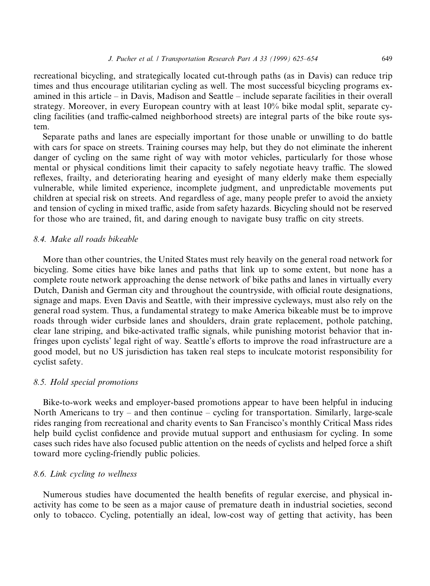recreational bicycling, and strategically located cut-through paths (as in Davis) can reduce trip times and thus encourage utilitarian cycling as well. The most successful bicycling programs examined in this article  $-\text{in Davis}$ , Madison and Seattle  $-\text{include }$  separate facilities in their overall strategy. Moreover, in every European country with at least 10% bike modal split, separate cycling facilities (and traffic-calmed neighborhood streets) are integral parts of the bike route system.

Separate paths and lanes are especially important for those unable or unwilling to do battle with cars for space on streets. Training courses may help, but they do not eliminate the inherent danger of cycling on the same right of way with motor vehicles, particularly for those whose mental or physical conditions limit their capacity to safely negotiate heavy traffic. The slowed reflexes, frailty, and deteriorating hearing and eyesight of many elderly make them especially vulnerable, while limited experience, incomplete judgment, and unpredictable movements put children at special risk on streets. And regardless of age, many people prefer to avoid the anxiety and tension of cycling in mixed traffic, aside from safety hazards. Bicycling should not be reserved for those who are trained, fit, and daring enough to navigate busy traffic on city streets.

#### 8.4. Make all roads bikeable

More than other countries, the United States must rely heavily on the general road network for bicycling. Some cities have bike lanes and paths that link up to some extent, but none has a complete route network approaching the dense network of bike paths and lanes in virtually every Dutch, Danish and German city and throughout the countryside, with official route designations, signage and maps. Even Davis and Seattle, with their impressive cycleways, must also rely on the general road system. Thus, a fundamental strategy to make America bikeable must be to improve roads through wider curbside lanes and shoulders, drain grate replacement, pothole patching, clear lane striping, and bike-activated traffic signals, while punishing motorist behavior that infringes upon cyclists' legal right of way. Seattle's efforts to improve the road infrastructure are a good model, but no US jurisdiction has taken real steps to inculcate motorist responsibility for cyclist safety.

## 8.5. Hold special promotions

Bike-to-work weeks and employer-based promotions appear to have been helpful in inducing North Americans to try  $-$  and then continue  $-$  cycling for transportation. Similarly, large-scale rides ranging from recreational and charity events to San Francisco's monthly Critical Mass rides help build cyclist confidence and provide mutual support and enthusiasm for cycling. In some cases such rides have also focused public attention on the needs of cyclists and helped force a shift toward more cycling-friendly public policies.

# 8.6. Link cycling to wellness

Numerous studies have documented the health benefits of regular exercise, and physical inactivity has come to be seen as a major cause of premature death in industrial societies, second only to tobacco. Cycling, potentially an ideal, low-cost way of getting that activity, has been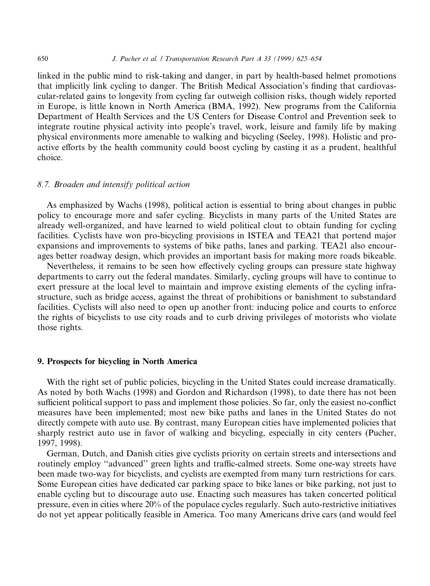linked in the public mind to risk-taking and danger, in part by health-based helmet promotions that implicitly link cycling to danger. The British Medical Association's finding that cardiovascular-related gains to longevity from cycling far outweigh collision risks, though widely reported in Europe, is little known in North America (BMA, 1992). New programs from the California Department of Health Services and the US Centers for Disease Control and Prevention seek to integrate routine physical activity into people's travel, work, leisure and family life by making physical environments more amenable to walking and bicycling (Seeley, 1998). Holistic and proactive efforts by the health community could boost cycling by casting it as a prudent, healthful choice.

## 8.7. Broaden and intensify political action

As emphasized by Wachs (1998), political action is essential to bring about changes in public policy to encourage more and safer cycling. Bicyclists in many parts of the United States are already well-organized, and have learned to wield political clout to obtain funding for cycling facilities. Cyclists have won pro-bicycling provisions in ISTEA and TEA21 that portend major expansions and improvements to systems of bike paths, lanes and parking. TEA21 also encourages better roadway design, which provides an important basis for making more roads bikeable.

Nevertheless, it remains to be seen how effectively cycling groups can pressure state highway departments to carry out the federal mandates. Similarly, cycling groups will have to continue to exert pressure at the local level to maintain and improve existing elements of the cycling infrastructure, such as bridge access, against the threat of prohibitions or banishment to substandard facilities. Cyclists will also need to open up another front: inducing police and courts to enforce the rights of bicyclists to use city roads and to curb driving privileges of motorists who violate those rights.

#### 9. Prospects for bicycling in North America

With the right set of public policies, bicycling in the United States could increase dramatically. As noted by both Wachs (1998) and Gordon and Richardson (1998), to date there has not been sufficient political support to pass and implement those policies. So far, only the easiest no-conflict measures have been implemented; most new bike paths and lanes in the United States do not directly compete with auto use. By contrast, many European cities have implemented policies that sharply restrict auto use in favor of walking and bicycling, especially in city centers (Pucher, 1997, 1998).

German, Dutch, and Danish cities give cyclists priority on certain streets and intersections and routinely employ "advanced" green lights and traffic-calmed streets. Some one-way streets have been made two-way for bicyclists, and cyclists are exempted from many turn restrictions for cars. Some European cities have dedicated car parking space to bike lanes or bike parking, not just to enable cycling but to discourage auto use. Enacting such measures has taken concerted political pressure, even in cities where 20% of the populace cycles regularly. Such auto-restrictive initiatives do not yet appear politically feasible in America. Too many Americans drive cars (and would feel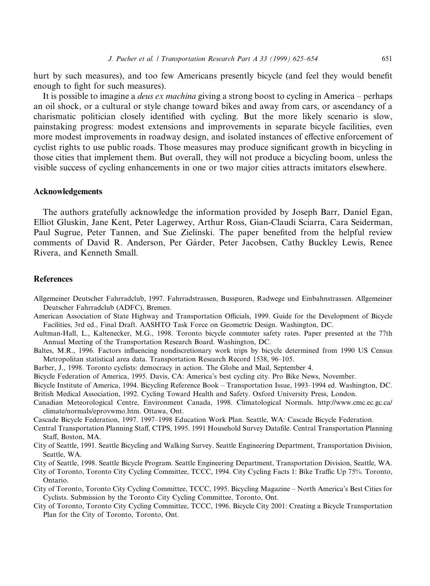hurt by such measures), and too few Americans presently bicycle (and feel they would benefit enough to fight for such measures).

It is possible to imagine a *deus ex machina* giving a strong boost to cycling in America  $-\rho$  perhaps an oil shock, or a cultural or style change toward bikes and away from cars, or ascendancy of a charismatic politician closely identified with cycling. But the more likely scenario is slow, painstaking progress: modest extensions and improvements in separate bicycle facilities, even more modest improvements in roadway design, and isolated instances of effective enforcement of cyclist rights to use public roads. Those measures may produce significant growth in bicycling in those cities that implement them. But overall, they will not produce a bicycling boom, unless the visible success of cycling enhancements in one or two major cities attracts imitators elsewhere.

#### Acknowledgements

The authors gratefully acknowledge the information provided by Joseph Barr, Daniel Egan, Elliot Gluskin, Jane Kent, Peter Lagerwey, Arthur Ross, Gian-Claudi Sciarra, Cara Seiderman, Paul Sugrue, Peter Tannen, and Sue Zielinski. The paper benefited from the helpful review comments of David R. Anderson, Per Gårder, Peter Jacobsen, Cathy Buckley Lewis, Renee Rivera, and Kenneth Small.

#### References

- Allgemeiner Deutscher Fahrradclub, 1997. Fahrradstrassen, Busspuren, Radwege und Einbahnstrassen. Allgemeiner Deutscher Fahrradclub (ADFC), Bremen.
- American Association of State Highway and Transportation Officials, 1999. Guide for the Development of Bicycle Facilities, 3rd ed., Final Draft. AASHTO Task Force on Geometric Design. Washington, DC.
- Aultman-Hall, L., Kaltenecker, M.G., 1998. Toronto bicycle commuter safety rates. Paper presented at the 77th Annual Meeting of the Transportation Research Board. Washington, DC.
- Baltes, M.R., 1996. Factors influencing nondiscretionary work trips by bicycle determined from 1990 US Census Metropolitan statistical area data. Transportation Research Record 1538, 96–105.
- Barber, J., 1998. Toronto cyclists: democracy in action. The Globe and Mail, September 4.
- Bicycle Federation of America, 1995. Davis, CA: America's best cycling city. Pro Bike News, November.
- Bicycle Institute of America, 1994. Bicycling Reference Book Transportation Issue, 1993-1994 ed. Washington, DC. British Medical Association, 1992. Cycling Toward Health and Safety. Oxford University Press, London.
- Canadian Meteorological Centre, Environment Canada, 1998. Climatological Normals. http://www.cmc.ec.gc.ca/ climate/normals/eprovwmo.htm. Ottawa, Ont.
- Cascade Bicycle Federation, 1997. 1997–1998 Education Work Plan. Seattle, WA: Cascade Bicycle Federation.
- Central Transportation Planning Staff, CTPS, 1995. 1991 Household Survey Datafile. Central Transportation Planning Staff, Boston, MA.
- City of Seattle, 1991. Seattle Bicycling and Walking Survey. Seattle Engineering Department, Transportation Division, Seattle, WA.
- City of Seattle, 1998. Seattle Bicycle Program. Seattle Engineering Department, Transportation Division, Seattle, WA.
- City of Toronto, Toronto City Cycling Committee, TCCC, 1994. City Cycling Facts 1: Bike Traffic Up 75%. Toronto, Ontario.
- City of Toronto, Toronto City Cycling Committee, TCCC, 1995. Bicycling Magazine North America's Best Cities for Cyclists. Submission by the Toronto City Cycling Committee, Toronto, Ont.
- City of Toronto, Toronto City Cycling Committee, TCCC, 1996. Bicycle City 2001: Creating a Bicycle Transportation Plan for the City of Toronto, Toronto, Ont.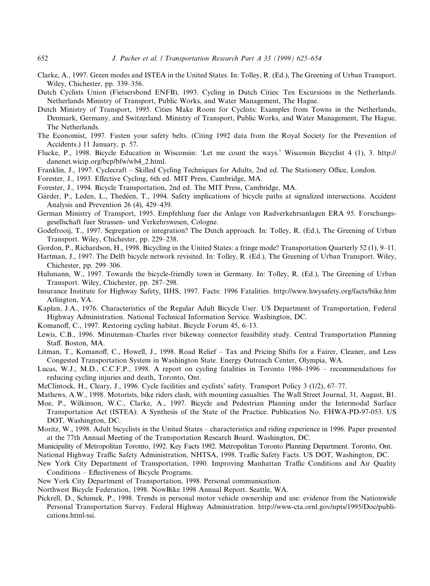- Clarke, A., 1997. Green modes and ISTEA in the United States. In: Tolley, R. (Ed.), The Greening of Urban Transport. Wiley, Chichester, pp. 339–356.
- Dutch Cyclists Union (Fietsersbond ENFB), 1993. Cycling in Dutch Cities: Ten Excursions in the Netherlands. Netherlands Ministry of Transport, Public Works, and Water Management, The Hague.
- Dutch Ministry of Transport, 1995. Cities Make Room for Cyclists: Examples from Towns in the Netherlands, Denmark, Germany, and Switzerland. Ministry of Transport, Public Works, and Water Management, The Hague, The Netherlands.
- The Economist, 1997. Fasten your safety belts. (Citing 1992 data from the Royal Society for the Prevention of Accidents.) 11 January, p. 57.
- Flucke, P., 1998. Bicycle Education in Wisconsin: `Let me count the ways.' Wisconsin Bicyclist 4 (1), 3. http:// danenet.wicip.org/bcp/bfw/wb4\_2.html.
- Franklin, J., 1997. Cyclecraft Skilled Cycling Techniques for Adults, 2nd ed. The Stationery Office, London.
- Forester, J., 1993. Effective Cycling, 6th ed. MIT Press, Cambridge, MA.
- Forester, J., 1994. Bicycle Transportation, 2nd ed. The MIT Press, Cambridge, MA.
- Gårder, P., Leden, L., Thedéen, T., 1994. Safety implications of bicycle paths at signalized intersections. Accident Analysis and Prevention  $26(4)$ ,  $429-439$ .
- German Ministry of Transport, 1995. Empfehlung fuer die Anlage von Radverkehrsanlagen ERA 95. Forschungsgesellschaft fuer Strassen- und Verkehrswesen, Cologne.
- Godefrooij, T., 1997. Segregation or integration? The Dutch approach. In: Tolley, R. (Ed.), The Greening of Urban Transport. Wiley, Chichester, pp. 229-238.
- Gordon, P., Richardson, H., 1998. Bicycling in the United States: a fringe mode? Transportation Quarterly 52(1), 9–11.
- Hartman, J., 1997. The Delft bicycle network revisited. In: Tolley, R. (Ed.), The Greening of Urban Transport. Wiley, Chichester, pp.  $299-306$ .
- Hulsmann, W., 1997. Towards the bicycle-friendly town in Germany. In: Tolley, R. (Ed.), The Greening of Urban Transport. Wiley, Chichester, pp. 287–298.
- Insurance Institute for Highway Safety, IIHS, 1997. Facts: 1996 Fatalities. http://www.hwysafety.org/facts/bike.htm Arlington, VA.
- Kaplan, J.A., 1976. Characteristics of the Regular Adult Bicycle User. US Department of Transportation, Federal Highway Administration. National Technical Information Service. Washington, DC.
- Komanoff, C., 1997. Restoring cycling habitat. Bicycle Forum 45, 6–13.
- Lewis, C.B., 1996. Minuteman-Charles river bikeway connector feasibility study. Central Transportation Planning Staff. Boston, MA.
- Litman, T., Komanoff, C., Howell, J., 1998. Road Relief Tax and Pricing Shifts for a Fairer, Cleaner, and Less Congested Transportation System in Washington State. Energy Outreach Center, Olympia, WA.
- Lucas, W.J., M.D., C.C.F.P., 1998. A report on cycling fatalities in Toronto 1986–1996 recommendations for reducing cycling injuries and death, Toronto, Ont.
- McClintock, H., Cleary, J., 1996. Cycle facilities and cyclists' safety. Transport Policy 3 (1/2), 67-77.
- Mathews, A.W., 1998. Motorists, bike riders clash, with mounting casualties. The Wall Street Journal, 31, August, B1.
- Moe, P., Wilkinson, W.C., Clarke, A., 1997. Bicycle and Pedestrian Planning under the Intermodal Surface Transportation Act (ISTEA): A Synthesis of the State of the Practice. Publication No. FHWA-PD-97-053. US DOT, Washington, DC.
- Moritz, W., 1998. Adult bicyclists in the United States characteristics and riding experience in 1996. Paper presented at the 77th Annual Meeting of the Transportation Research Board. Washington, DC.
- Municipality of Metropolitan Toronto, 1992. Key Facts 1992. Metropolitan Toronto Planning Department. Toronto, Ont.
- National Highway Traffic Safety Administration, NHTSA, 1998. Traffic Safety Facts. US DOT, Washington, DC.
- New York City Department of Transportation, 1990. Improving Manhattan Traffic Conditions and Air Quality Conditions – Effectiveness of Bicycle Programs.
- New York City Department of Transportation, 1998. Personal communication.
- Northwest Bicycle Federation, 1998. NowBike 1998 Annual Report. Seattle, WA.
- Pickrell, D., Schimek, P., 1998. Trends in personal motor vehicle ownership and use: evidence from the Nationwide Personal Transportation Survey. Federal Highway Administration. http://www-cta.ornl.gov/npts/1995/Doc/publications.html-ssi.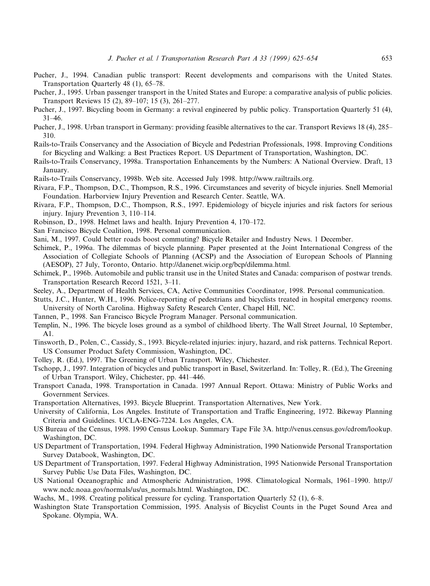- Pucher, J., 1994. Canadian public transport: Recent developments and comparisons with the United States. Transportation Quarterly 48 (1), 65–78.
- Pucher, J., 1995. Urban passenger transport in the United States and Europe: a comparative analysis of public policies. Transport Reviews 15 (2), 89-107; 15 (3), 261-277.
- Pucher, J., 1997. Bicycling boom in Germany: a revival engineered by public policy. Transportation Quarterly 51 (4),  $31-46.$
- Pucher, J., 1998. Urban transport in Germany: providing feasible alternatives to the car. Transport Reviews 18 (4), 285– 310.
- Rails-to-Trails Conservancy and the Association of Bicycle and Pedestrian Professionals, 1998. Improving Conditions for Bicycling and Walking: a Best Practices Report. US Department of Transportation, Washington, DC.
- Rails-to-Trails Conservancy, 1998a. Transportation Enhancements by the Numbers: A National Overview. Draft, 13 January.
- Rails-to-Trails Conservancy, 1998b. Web site. Accessed July 1998. http://www.railtrails.org.
- Rivara, F.P., Thompson, D.C., Thompson, R.S., 1996. Circumstances and severity of bicycle injuries. Snell Memorial Foundation. Harborview Injury Prevention and Research Center. Seattle, WA.
- Rivara, F.P., Thompson, D.C., Thompson, R.S., 1997. Epidemiology of bicycle injuries and risk factors for serious injury. Injury Prevention 3, 110-114.
- Robinson, D., 1998. Helmet laws and health. Injury Prevention 4, 170–172.
- San Francisco Bicycle Coalition, 1998. Personal communication.
- Sani, M., 1997. Could better roads boost commuting? Bicycle Retailer and Industry News. 1 December.
- Schimek, P., 1996a. The dilemmas of bicycle planning. Paper presented at the Joint International Congress of the Association of Collegiate Schools of Planning (ACSP) and the Association of European Schools of Planning (AESOP), 27 July, Toronto, Ontario. http://danenet.wicip.org/bcp/dilemma.html.
- Schimek, P., 1996b. Automobile and public transit use in the United States and Canada: comparison of postwar trends. Transportation Research Record 1521, 3-11.
- Seeley, A., Department of Health Services, CA, Active Communities Coordinator, 1998. Personal communication.
- Stutts, J.C., Hunter, W.H., 1996. Police-reporting of pedestrians and bicyclists treated in hospital emergency rooms. University of North Carolina. Highway Safety Research Center, Chapel Hill, NC.
- Tannen, P., 1998. San Francisco Bicycle Program Manager. Personal communication.
- Templin, N., 1996. The bicycle loses ground as a symbol of childhood liberty. The Wall Street Journal, 10 September, A1.
- Tinsworth, D., Polen, C., Cassidy, S., 1993. Bicycle-related injuries: injury, hazard, and risk patterns. Technical Report. US Consumer Product Safety Commission, Washington, DC.
- Tolley, R. (Ed.), 1997. The Greening of Urban Transport. Wiley, Chichester.
- Tschopp, J., 1997. Integration of bicycles and public transport in Basel, Switzerland. In: Tolley, R. (Ed.), The Greening of Urban Transport. Wiley, Chichester, pp. 441-446.
- Transport Canada, 1998. Transportation in Canada. 1997 Annual Report. Ottawa: Ministry of Public Works and Government Services.
- Transportation Alternatives, 1993. Bicycle Blueprint. Transportation Alternatives, New York.
- University of California, Los Angeles. Institute of Transportation and Traffic Engineering, 1972. Bikeway Planning Criteria and Guidelines. UCLA-ENG-7224. Los Angeles, CA.
- US Bureau of the Census, 1998. 1990 Census Lookup. Summary Tape File 3A. http://venus.census.gov/cdrom/lookup. Washington, DC.
- US Department of Transportation, 1994. Federal Highway Administration, 1990 Nationwide Personal Transportation Survey Databook, Washington, DC.
- US Department of Transportation, 1997. Federal Highway Administration, 1995 Nationwide Personal Transportation Survey Public Use Data Files, Washington, DC.
- US National Oceanographic and Atmospheric Administration, 1998. Climatological Normals, 1961-1990. http:// www.ncdc.noaa.gov/normals/us/us\_normals.html. Washington, DC.
- Wachs, M., 1998. Creating political pressure for cycling. Transportation Quarterly 52 (1), 6–8.
- Washington State Transportation Commission, 1995. Analysis of Bicyclist Counts in the Puget Sound Area and Spokane. Olympia, WA.